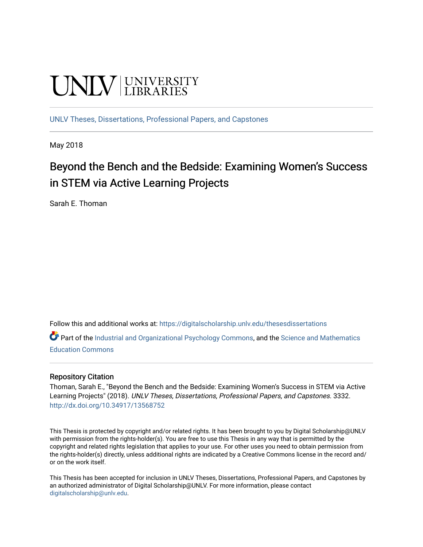# **UNIVERSITY**

[UNLV Theses, Dissertations, Professional Papers, and Capstones](https://digitalscholarship.unlv.edu/thesesdissertations)

May 2018

# Beyond the Bench and the Bedside: Examining Women's Success in STEM via Active Learning Projects

Sarah E. Thoman

Follow this and additional works at: [https://digitalscholarship.unlv.edu/thesesdissertations](https://digitalscholarship.unlv.edu/thesesdissertations?utm_source=digitalscholarship.unlv.edu%2Fthesesdissertations%2F3332&utm_medium=PDF&utm_campaign=PDFCoverPages)

Part of the [Industrial and Organizational Psychology Commons,](http://network.bepress.com/hgg/discipline/412?utm_source=digitalscholarship.unlv.edu%2Fthesesdissertations%2F3332&utm_medium=PDF&utm_campaign=PDFCoverPages) and the [Science and Mathematics](http://network.bepress.com/hgg/discipline/800?utm_source=digitalscholarship.unlv.edu%2Fthesesdissertations%2F3332&utm_medium=PDF&utm_campaign=PDFCoverPages)  [Education Commons](http://network.bepress.com/hgg/discipline/800?utm_source=digitalscholarship.unlv.edu%2Fthesesdissertations%2F3332&utm_medium=PDF&utm_campaign=PDFCoverPages) 

#### Repository Citation

Thoman, Sarah E., "Beyond the Bench and the Bedside: Examining Women's Success in STEM via Active Learning Projects" (2018). UNLV Theses, Dissertations, Professional Papers, and Capstones. 3332. <http://dx.doi.org/10.34917/13568752>

This Thesis is protected by copyright and/or related rights. It has been brought to you by Digital Scholarship@UNLV with permission from the rights-holder(s). You are free to use this Thesis in any way that is permitted by the copyright and related rights legislation that applies to your use. For other uses you need to obtain permission from the rights-holder(s) directly, unless additional rights are indicated by a Creative Commons license in the record and/ or on the work itself.

This Thesis has been accepted for inclusion in UNLV Theses, Dissertations, Professional Papers, and Capstones by an authorized administrator of Digital Scholarship@UNLV. For more information, please contact [digitalscholarship@unlv.edu](mailto:digitalscholarship@unlv.edu).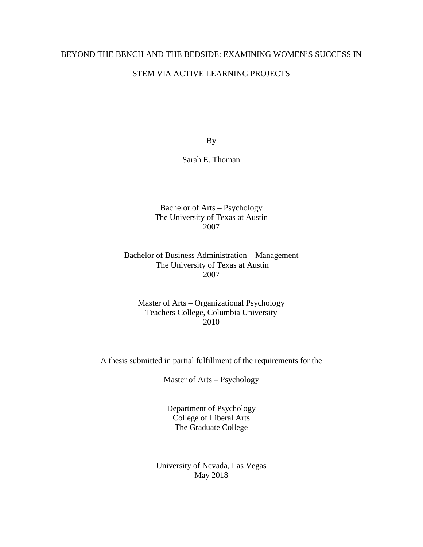### BEYOND THE BENCH AND THE BEDSIDE: EXAMINING WOMEN'S SUCCESS IN

#### STEM VIA ACTIVE LEARNING PROJECTS

By

Sarah E. Thoman

Bachelor of Arts – Psychology The University of Texas at Austin 2007

Bachelor of Business Administration – Management The University of Texas at Austin 2007

Master of Arts – Organizational Psychology Teachers College, Columbia University 2010

A thesis submitted in partial fulfillment of the requirements for the

Master of Arts – Psychology

Department of Psychology College of Liberal Arts The Graduate College

University of Nevada, Las Vegas May 2018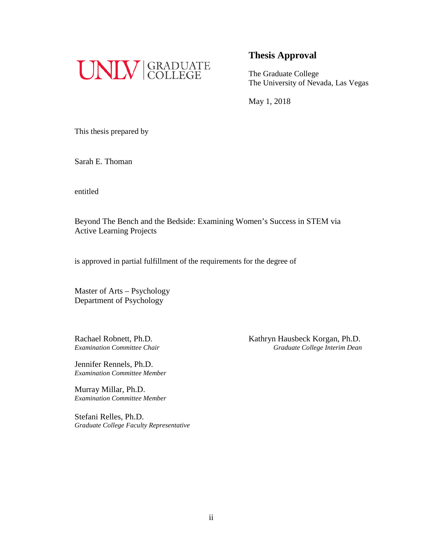

## **Thesis Approval**

The Graduate College The University of Nevada, Las Vegas

May 1, 2018

This thesis prepared by

Sarah E. Thoman

entitled

Beyond The Bench and the Bedside: Examining Women's Success in STEM via Active Learning Projects

is approved in partial fulfillment of the requirements for the degree of

Master of Arts – Psychology Department of Psychology

Jennifer Rennels, Ph.D. *Examination Committee Member*

Murray Millar, Ph.D. *Examination Committee Member*

Stefani Relles, Ph.D. *Graduate College Faculty Representative*

Rachael Robnett, Ph.D.<br>
Examination Committee Chair<br>
Graduate College Interim Dean *Examination Committee Chair Graduate College Interim Dean*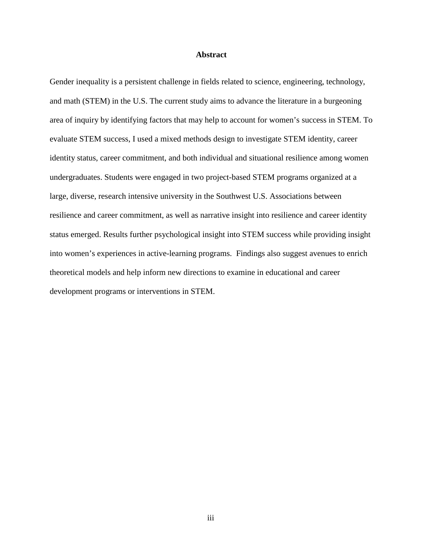#### **Abstract**

<span id="page-3-0"></span>Gender inequality is a persistent challenge in fields related to science, engineering, technology, and math (STEM) in the U.S. The current study aims to advance the literature in a burgeoning area of inquiry by identifying factors that may help to account for women's success in STEM. To evaluate STEM success, I used a mixed methods design to investigate STEM identity, career identity status, career commitment, and both individual and situational resilience among women undergraduates. Students were engaged in two project-based STEM programs organized at a large, diverse, research intensive university in the Southwest U.S. Associations between resilience and career commitment, as well as narrative insight into resilience and career identity status emerged. Results further psychological insight into STEM success while providing insight into women's experiences in active-learning programs. Findings also suggest avenues to enrich theoretical models and help inform new directions to examine in educational and career development programs or interventions in STEM.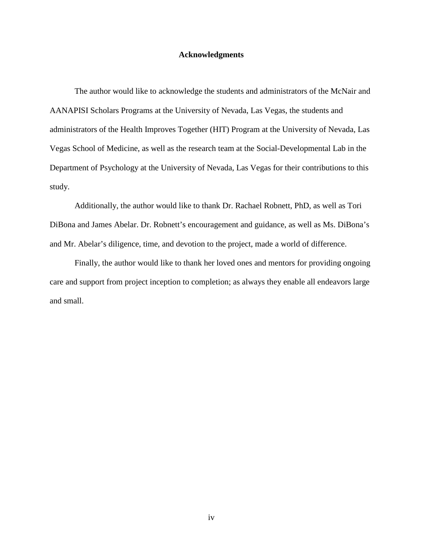#### **Acknowledgments**

<span id="page-4-0"></span>The author would like to acknowledge the students and administrators of the McNair and AANAPISI Scholars Programs at the University of Nevada, Las Vegas, the students and administrators of the Health Improves Together (HIT) Program at the University of Nevada, Las Vegas School of Medicine, as well as the research team at the Social-Developmental Lab in the Department of Psychology at the University of Nevada, Las Vegas for their contributions to this study.

Additionally, the author would like to thank Dr. Rachael Robnett, PhD, as well as Tori DiBona and James Abelar. Dr. Robnett's encouragement and guidance, as well as Ms. DiBona's and Mr. Abelar's diligence, time, and devotion to the project, made a world of difference.

Finally, the author would like to thank her loved ones and mentors for providing ongoing care and support from project inception to completion; as always they enable all endeavors large and small.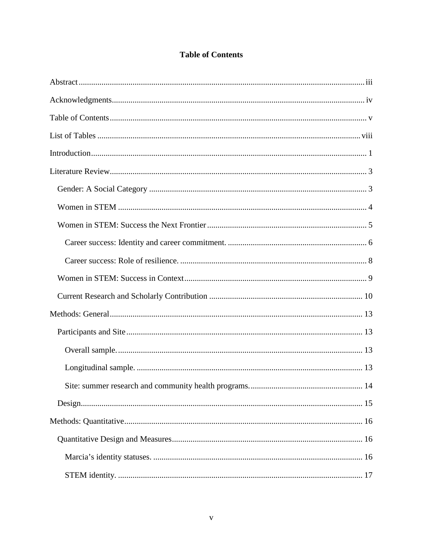<span id="page-5-0"></span>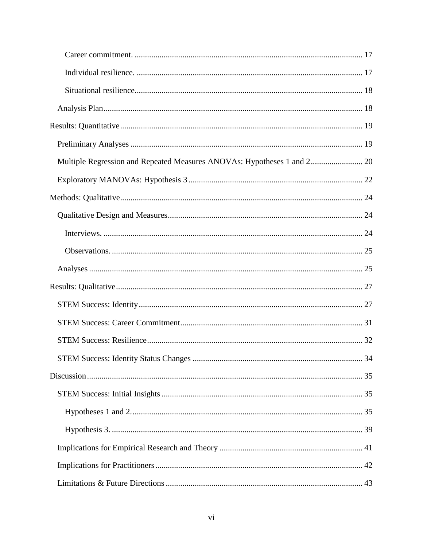| Multiple Regression and Repeated Measures ANOVAs: Hypotheses 1 and 2 20 |  |
|-------------------------------------------------------------------------|--|
|                                                                         |  |
|                                                                         |  |
|                                                                         |  |
|                                                                         |  |
|                                                                         |  |
|                                                                         |  |
|                                                                         |  |
|                                                                         |  |
|                                                                         |  |
|                                                                         |  |
|                                                                         |  |
|                                                                         |  |
|                                                                         |  |
|                                                                         |  |
|                                                                         |  |
|                                                                         |  |
|                                                                         |  |
|                                                                         |  |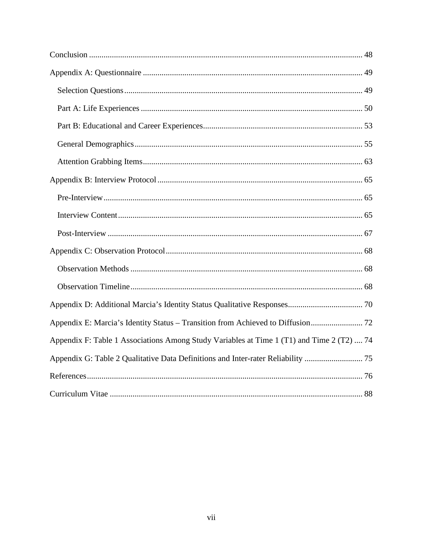| Appendix E: Marcia's Identity Status - Transition from Achieved to Diffusion 72           |  |
|-------------------------------------------------------------------------------------------|--|
| Appendix F: Table 1 Associations Among Study Variables at Time 1 (T1) and Time 2 (T2)  74 |  |
| Appendix G: Table 2 Qualitative Data Definitions and Inter-rater Reliability  75          |  |
|                                                                                           |  |
|                                                                                           |  |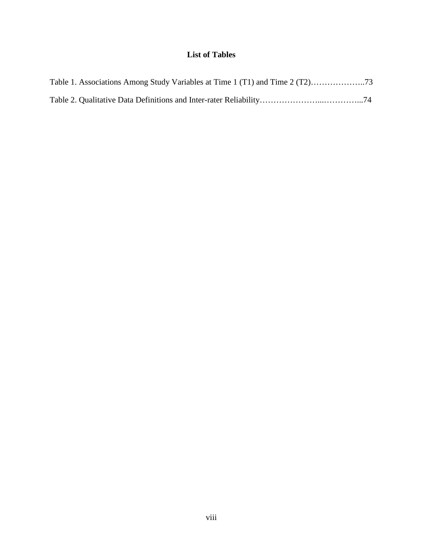# **List of Tables**

<span id="page-8-0"></span>

| Table 1. Associations Among Study Variables at Time 1 (T1) and Time 2 (T2)73 |  |
|------------------------------------------------------------------------------|--|
|                                                                              |  |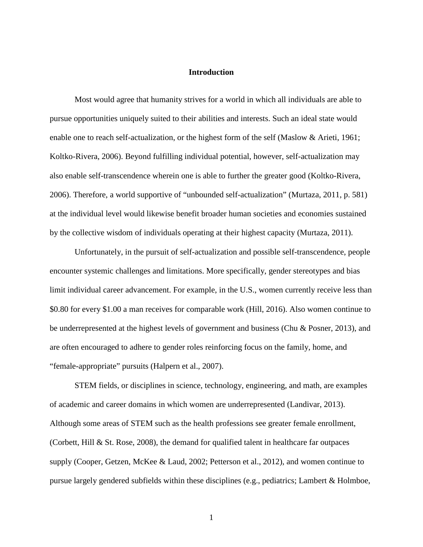#### **Introduction**

<span id="page-9-0"></span>Most would agree that humanity strives for a world in which all individuals are able to pursue opportunities uniquely suited to their abilities and interests. Such an ideal state would enable one to reach self-actualization, or the highest form of the self (Maslow & Arieti, 1961; Koltko-Rivera, 2006). Beyond fulfilling individual potential, however, self-actualization may also enable self-transcendence wherein one is able to further the greater good (Koltko-Rivera, 2006). Therefore, a world supportive of "unbounded self-actualization" (Murtaza, 2011, p. 581) at the individual level would likewise benefit broader human societies and economies sustained by the collective wisdom of individuals operating at their highest capacity (Murtaza, 2011).

Unfortunately, in the pursuit of self-actualization and possible self-transcendence, people encounter systemic challenges and limitations. More specifically, gender stereotypes and bias limit individual career advancement. For example, in the U.S., women currently receive less than \$0.80 for every \$1.00 a man receives for comparable work (Hill, 2016). Also women continue to be underrepresented at the highest levels of government and business (Chu & Posner, 2013), and are often encouraged to adhere to gender roles reinforcing focus on the family, home, and "female-appropriate" pursuits (Halpern et al., 2007).

STEM fields, or disciplines in science, technology, engineering, and math, are examples of academic and career domains in which women are underrepresented (Landivar, 2013). Although some areas of STEM such as the health professions see greater female enrollment, (Corbett, Hill  $\&$  St. Rose, 2008), the demand for qualified talent in healthcare far outpaces supply (Cooper, Getzen, McKee & Laud, 2002; Petterson et al., 2012), and women continue to pursue largely gendered subfields within these disciplines (e.g., pediatrics; Lambert & Holmboe,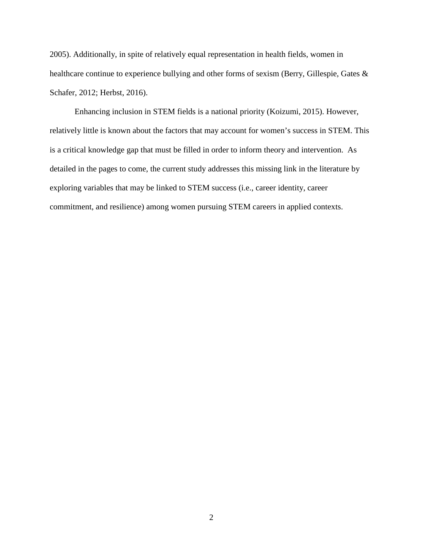2005). Additionally, in spite of relatively equal representation in health fields, women in healthcare continue to experience bullying and other forms of sexism (Berry, Gillespie, Gates & Schafer, 2012; Herbst, 2016).

Enhancing inclusion in STEM fields is a national priority (Koizumi, 2015). However, relatively little is known about the factors that may account for women's success in STEM. This is a critical knowledge gap that must be filled in order to inform theory and intervention. As detailed in the pages to come, the current study addresses this missing link in the literature by exploring variables that may be linked to STEM success (i.e., career identity, career commitment, and resilience) among women pursuing STEM careers in applied contexts.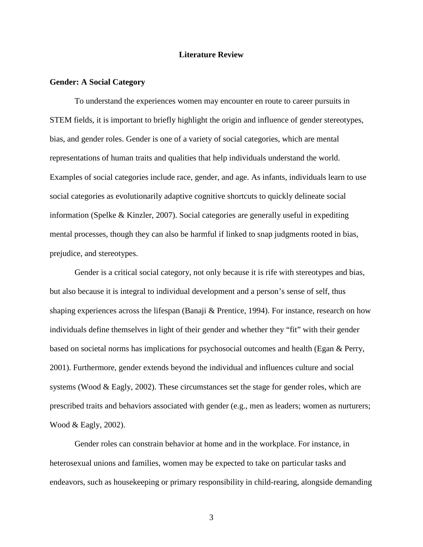#### **Literature Review**

#### <span id="page-11-1"></span><span id="page-11-0"></span>**Gender: A Social Category**

To understand the experiences women may encounter en route to career pursuits in STEM fields, it is important to briefly highlight the origin and influence of gender stereotypes, bias, and gender roles. Gender is one of a variety of social categories, which are mental representations of human traits and qualities that help individuals understand the world. Examples of social categories include race, gender, and age. As infants, individuals learn to use social categories as evolutionarily adaptive cognitive shortcuts to quickly delineate social information (Spelke & Kinzler, 2007). Social categories are generally useful in expediting mental processes, though they can also be harmful if linked to snap judgments rooted in bias, prejudice, and stereotypes.

Gender is a critical social category, not only because it is rife with stereotypes and bias, but also because it is integral to individual development and a person's sense of self, thus shaping experiences across the lifespan (Banaji & Prentice, 1994). For instance, research on how individuals define themselves in light of their gender and whether they "fit" with their gender based on societal norms has implications for psychosocial outcomes and health (Egan & Perry, 2001). Furthermore, gender extends beyond the individual and influences culture and social systems (Wood & Eagly, 2002). These circumstances set the stage for gender roles, which are prescribed traits and behaviors associated with gender (e.g., men as leaders; women as nurturers; Wood & Eagly, 2002).

Gender roles can constrain behavior at home and in the workplace. For instance, in heterosexual unions and families, women may be expected to take on particular tasks and endeavors, such as housekeeping or primary responsibility in child-rearing, alongside demanding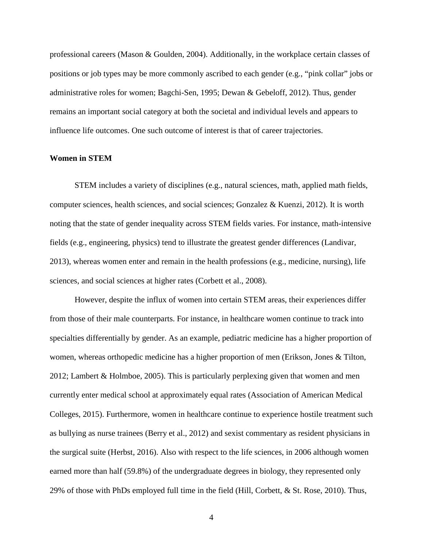professional careers (Mason & Goulden, 2004). Additionally, in the workplace certain classes of positions or job types may be more commonly ascribed to each gender (e.g., "pink collar" jobs or administrative roles for women; Bagchi-Sen, 1995; Dewan & Gebeloff, 2012). Thus, gender remains an important social category at both the societal and individual levels and appears to influence life outcomes. One such outcome of interest is that of career trajectories.

#### <span id="page-12-0"></span>**Women in STEM**

STEM includes a variety of disciplines (e.g., natural sciences, math, applied math fields, computer sciences, health sciences, and social sciences; Gonzalez & Kuenzi, 2012). It is worth noting that the state of gender inequality across STEM fields varies. For instance, math-intensive fields (e.g., engineering, physics) tend to illustrate the greatest gender differences (Landivar, 2013), whereas women enter and remain in the health professions (e.g., medicine, nursing), life sciences, and social sciences at higher rates (Corbett et al., 2008).

However, despite the influx of women into certain STEM areas, their experiences differ from those of their male counterparts. For instance, in healthcare women continue to track into specialties differentially by gender. As an example, pediatric medicine has a higher proportion of women, whereas orthopedic medicine has a higher proportion of men (Erikson, Jones & Tilton, 2012; Lambert & Holmboe, 2005). This is particularly perplexing given that women and men currently enter medical school at approximately equal rates (Association of American Medical Colleges, 2015). Furthermore, women in healthcare continue to experience hostile treatment such as bullying as nurse trainees (Berry et al., 2012) and sexist commentary as resident physicians in the surgical suite (Herbst, 2016). Also with respect to the life sciences, in 2006 although women earned more than half (59.8%) of the undergraduate degrees in biology, they represented only 29% of those with PhDs employed full time in the field (Hill, Corbett, & St. Rose, 2010). Thus,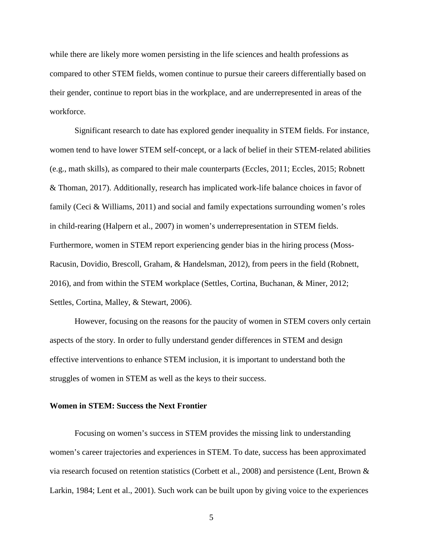while there are likely more women persisting in the life sciences and health professions as compared to other STEM fields, women continue to pursue their careers differentially based on their gender, continue to report bias in the workplace, and are underrepresented in areas of the workforce.

Significant research to date has explored gender inequality in STEM fields. For instance, women tend to have lower STEM self-concept, or a lack of belief in their STEM-related abilities (e.g., math skills), as compared to their male counterparts (Eccles, 2011; Eccles, 2015; Robnett & Thoman, 2017). Additionally, research has implicated work-life balance choices in favor of family (Ceci & Williams, 2011) and social and family expectations surrounding women's roles in child-rearing (Halpern et al., 2007) in women's underrepresentation in STEM fields. Furthermore, women in STEM report experiencing gender bias in the hiring process (Moss-Racusin, Dovidio, Brescoll, Graham, & Handelsman, 2012), from peers in the field (Robnett, 2016), and from within the STEM workplace (Settles, Cortina, Buchanan, & Miner, 2012; Settles, Cortina, Malley, & Stewart, 2006).

However, focusing on the reasons for the paucity of women in STEM covers only certain aspects of the story. In order to fully understand gender differences in STEM and design effective interventions to enhance STEM inclusion, it is important to understand both the struggles of women in STEM as well as the keys to their success.

#### <span id="page-13-0"></span>**Women in STEM: Success the Next Frontier**

Focusing on women's success in STEM provides the missing link to understanding women's career trajectories and experiences in STEM. To date, success has been approximated via research focused on retention statistics (Corbett et al., 2008) and persistence (Lent, Brown & Larkin, 1984; Lent et al., 2001). Such work can be built upon by giving voice to the experiences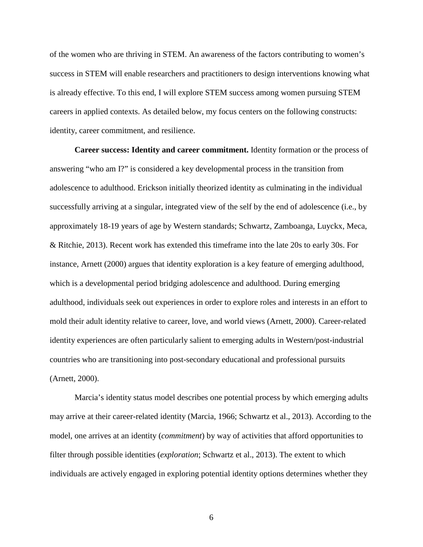of the women who are thriving in STEM. An awareness of the factors contributing to women's success in STEM will enable researchers and practitioners to design interventions knowing what is already effective. To this end, I will explore STEM success among women pursuing STEM careers in applied contexts. As detailed below, my focus centers on the following constructs: identity, career commitment, and resilience.

<span id="page-14-0"></span>**Career success: Identity and career commitment.** Identity formation or the process of answering "who am I?" is considered a key developmental process in the transition from adolescence to adulthood. Erickson initially theorized identity as culminating in the individual successfully arriving at a singular, integrated view of the self by the end of adolescence (i.e., by approximately 18-19 years of age by Western standards; Schwartz, Zamboanga, Luyckx, Meca, & Ritchie, 2013). Recent work has extended this timeframe into the late 20s to early 30s. For instance, Arnett (2000) argues that identity exploration is a key feature of emerging adulthood, which is a developmental period bridging adolescence and adulthood. During emerging adulthood, individuals seek out experiences in order to explore roles and interests in an effort to mold their adult identity relative to career, love, and world views (Arnett, 2000). Career-related identity experiences are often particularly salient to emerging adults in Western/post-industrial countries who are transitioning into post-secondary educational and professional pursuits (Arnett, 2000).

Marcia's identity status model describes one potential process by which emerging adults may arrive at their career-related identity (Marcia, 1966; Schwartz et al., 2013). According to the model, one arrives at an identity (*commitment*) by way of activities that afford opportunities to filter through possible identities (*exploration*; Schwartz et al., 2013). The extent to which individuals are actively engaged in exploring potential identity options determines whether they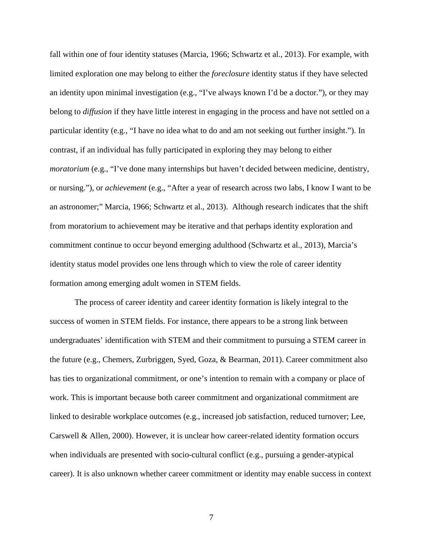fall within one of four identity statuses (Marcia, 1966; Schwartz et al., 2013). For example, with limited exploration one may belong to either the *foreclosure* identity status if they have selected an identity upon minimal investigation (e.g., "I've always known I'd be a doctor."), or they may belong to *diffusion* if they have little interest in engaging in the process and have not settled on a particular identity (e.g., "I have no idea what to do and am not seeking out further insight."). In contrast, if an individual has fully participated in exploring they may belong to either *moratorium* (e.g., "I've done many internships but haven't decided between medicine, dentistry, or nursing."), or *achievement* (e.g., "After a year of research across two labs, I know I want to be an astronomer;" Marcia, 1966; Schwartz et al., 2013). Although research indicates that the shift from moratorium to achievement may be iterative and that perhaps identity exploration and commitment continue to occur beyond emerging adulthood (Schwartz et al., 2013), Marcia's identity status model provides one lens through which to view the role of career identity formation among emerging adult women in STEM fields.

The process of career identity and career identity formation is likely integral to the success of women in STEM fields. For instance, there appears to be a strong link between undergraduates' identification with STEM and their commitment to pursuing a STEM career in the future (e.g., Chemers, Zurbriggen, Syed, Goza, & Bearman, 2011). Career commitment also has ties to organizational commitment, or one's intention to remain with a company or place of work. This is important because both career commitment and organizational commitment are linked to desirable workplace outcomes (e.g., increased job satisfaction, reduced turnover; Lee, Carswell & Allen, 2000). However, it is unclear how career-related identity formation occurs when individuals are presented with socio-cultural conflict (e.g., pursuing a gender-atypical career). It is also unknown whether career commitment or identity may enable success in context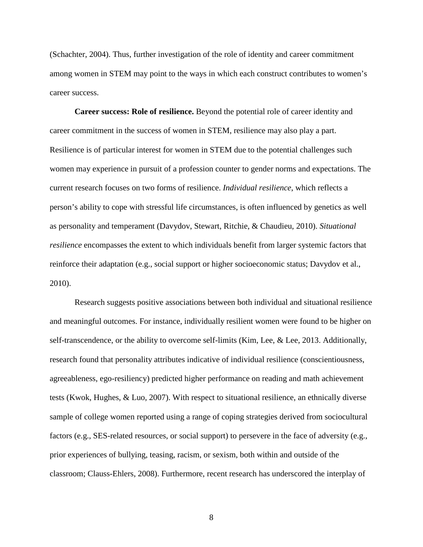(Schachter, 2004). Thus, further investigation of the role of identity and career commitment among women in STEM may point to the ways in which each construct contributes to women's career success.

<span id="page-16-0"></span>**Career success: Role of resilience.** Beyond the potential role of career identity and career commitment in the success of women in STEM, resilience may also play a part. Resilience is of particular interest for women in STEM due to the potential challenges such women may experience in pursuit of a profession counter to gender norms and expectations. The current research focuses on two forms of resilience. *Individual resilience*, which reflects a person's ability to cope with stressful life circumstances, is often influenced by genetics as well as personality and temperament (Davydov, Stewart, Ritchie, & Chaudieu, 2010). *Situational resilience* encompasses the extent to which individuals benefit from larger systemic factors that reinforce their adaptation (e.g., social support or higher socioeconomic status; Davydov et al., 2010).

Research suggests positive associations between both individual and situational resilience and meaningful outcomes. For instance, individually resilient women were found to be higher on self-transcendence, or the ability to overcome self-limits (Kim, Lee, & Lee, 2013. Additionally, research found that personality attributes indicative of individual resilience (conscientiousness, agreeableness, ego-resiliency) predicted higher performance on reading and math achievement tests (Kwok, Hughes, & Luo, 2007). With respect to situational resilience, an ethnically diverse sample of college women reported using a range of coping strategies derived from sociocultural factors (e.g., SES-related resources, or social support) to persevere in the face of adversity (e.g., prior experiences of bullying, teasing, racism, or sexism, both within and outside of the classroom; Clauss-Ehlers, 2008). Furthermore, recent research has underscored the interplay of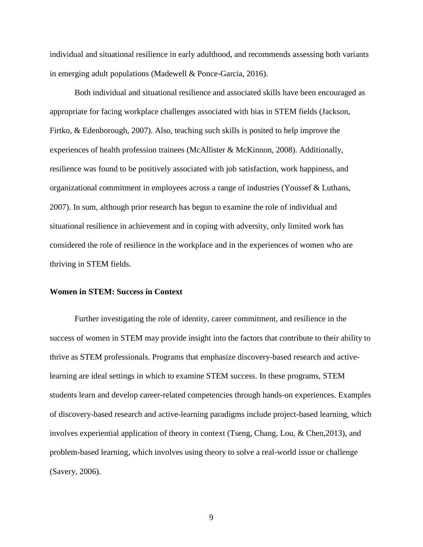individual and situational resilience in early adulthood, and recommends assessing both variants in emerging adult populations (Madewell & Ponce-Garcia, 2016).

Both individual and situational resilience and associated skills have been encouraged as appropriate for facing workplace challenges associated with bias in STEM fields (Jackson, Firtko, & Edenborough, 2007). Also, teaching such skills is posited to help improve the experiences of health profession trainees (McAllister & McKinnon, 2008). Additionally, resilience was found to be positively associated with job satisfaction, work happiness, and organizational commitment in employees across a range of industries (Youssef & Luthans, 2007). In sum, although prior research has begun to examine the role of individual and situational resilience in achievement and in coping with adversity, only limited work has considered the role of resilience in the workplace and in the experiences of women who are thriving in STEM fields.

#### <span id="page-17-0"></span>**Women in STEM: Success in Context**

Further investigating the role of identity, career commitment, and resilience in the success of women in STEM may provide insight into the factors that contribute to their ability to thrive as STEM professionals. Programs that emphasize discovery-based research and activelearning are ideal settings in which to examine STEM success. In these programs, STEM students learn and develop career-related competencies through hands-on experiences. Examples of discovery-based research and active-learning paradigms include project-based learning, which involves experiential application of theory in context (Tseng, Chang, Lou, & Chen,2013), and problem-based learning, which involves using theory to solve a real-world issue or challenge (Savery, 2006).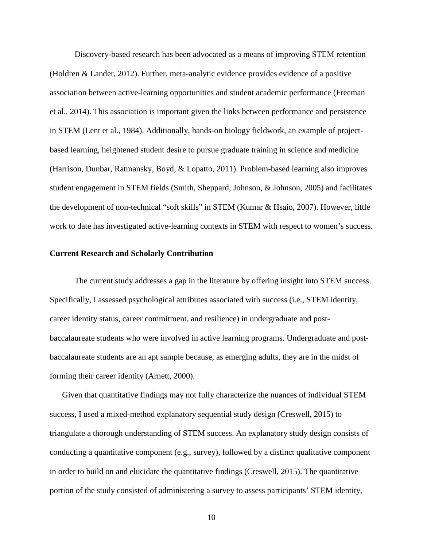Discovery-based research has been advocated as a means of improving STEM retention (Holdren & Lander, 2012). Further, meta-analytic evidence provides evidence of a positive association between active-learning opportunities and student academic performance (Freeman et al., 2014). This association is important given the links between performance and persistence in STEM (Lent et al., 1984). Additionally, hands-on biology fieldwork, an example of projectbased learning, heightened student desire to pursue graduate training in science and medicine (Harrison, Dunbar, Ratmansky, Boyd, & Lopatto, 2011). Problem-based learning also improves student engagement in STEM fields (Smith, Sheppard, Johnson, & Johnson, 2005) and facilitates the development of non-technical "soft skills" in STEM (Kumar & Hsaio, 2007). However, little work to date has investigated active-learning contexts in STEM with respect to women's success.

#### <span id="page-18-0"></span>**Current Research and Scholarly Contribution**

The current study addresses a gap in the literature by offering insight into STEM success. Specifically, I assessed psychological attributes associated with success (i.e., STEM identity, career identity status, career commitment, and resilience) in undergraduate and postbaccalaureate students who were involved in active learning programs. Undergraduate and postbaccalaureate students are an apt sample because, as emerging adults, they are in the midst of forming their career identity (Arnett, 2000).

Given that quantitative findings may not fully characterize the nuances of individual STEM success, I used a mixed-method explanatory sequential study design (Creswell, 2015) to triangulate a thorough understanding of STEM success. An explanatory study design consists of conducting a quantitative component (e.g., survey), followed by a distinct qualitative component in order to build on and elucidate the quantitative findings (Creswell, 2015). The quantitative portion of the study consisted of administering a survey to assess participants' STEM identity,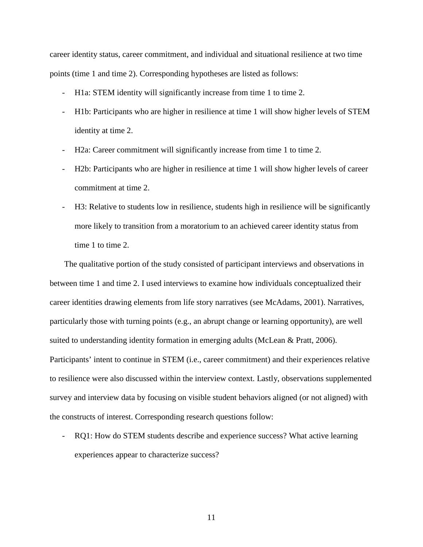career identity status, career commitment, and individual and situational resilience at two time points (time 1 and time 2). Corresponding hypotheses are listed as follows:

- H1a: STEM identity will significantly increase from time 1 to time 2.
- H1b: Participants who are higher in resilience at time 1 will show higher levels of STEM identity at time 2.
- H2a: Career commitment will significantly increase from time 1 to time 2.
- H2b: Participants who are higher in resilience at time 1 will show higher levels of career commitment at time 2.
- H3: Relative to students low in resilience, students high in resilience will be significantly more likely to transition from a moratorium to an achieved career identity status from time 1 to time 2.

The qualitative portion of the study consisted of participant interviews and observations in between time 1 and time 2. I used interviews to examine how individuals conceptualized their career identities drawing elements from life story narratives (see McAdams, 2001). Narratives, particularly those with turning points (e.g., an abrupt change or learning opportunity), are well suited to understanding identity formation in emerging adults (McLean & Pratt, 2006). Participants' intent to continue in STEM (i.e., career commitment) and their experiences relative to resilience were also discussed within the interview context. Lastly, observations supplemented survey and interview data by focusing on visible student behaviors aligned (or not aligned) with the constructs of interest. Corresponding research questions follow:

- RQ1: How do STEM students describe and experience success? What active learning experiences appear to characterize success?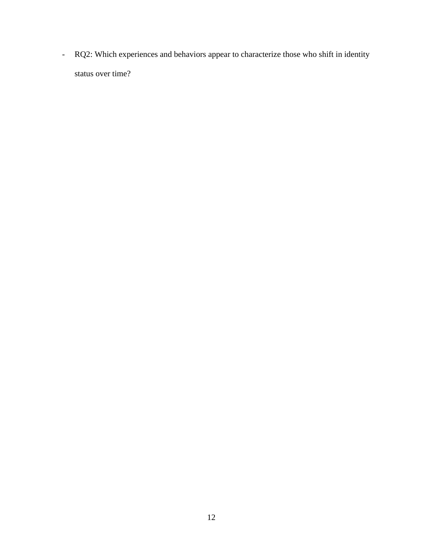- RQ2: Which experiences and behaviors appear to characterize those who shift in identity status over time?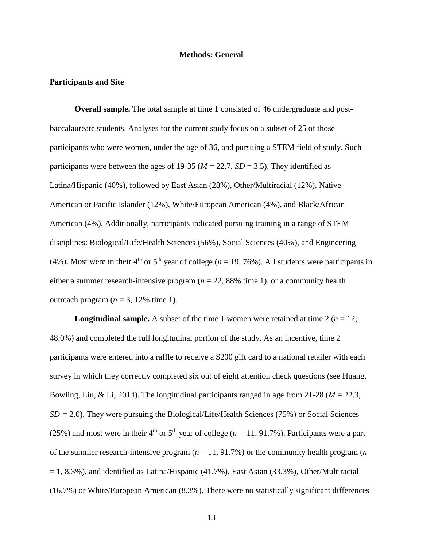#### **Methods: General**

#### <span id="page-21-1"></span><span id="page-21-0"></span>**Participants and Site**

<span id="page-21-2"></span>**Overall sample.** The total sample at time 1 consisted of 46 undergraduate and postbaccalaureate students. Analyses for the current study focus on a subset of 25 of those participants who were women, under the age of 36, and pursuing a STEM field of study. Such participants were between the ages of 19-35 ( $M = 22.7$ ,  $SD = 3.5$ ). They identified as Latina/Hispanic (40%), followed by East Asian (28%), Other/Multiracial (12%), Native American or Pacific Islander (12%), White/European American (4%), and Black/African American (4%). Additionally, participants indicated pursuing training in a range of STEM disciplines: Biological/Life/Health Sciences (56%), Social Sciences (40%), and Engineering (4%). Most were in their 4<sup>th</sup> or 5<sup>th</sup> year of college ( $n = 19, 76\%$ ). All students were participants in either a summer research-intensive program (*n* = 22, 88% time 1), or a community health outreach program  $(n = 3, 12\%$  time 1).

<span id="page-21-3"></span>**Longitudinal sample.** A subset of the time 1 women were retained at time  $2(n = 12,$ 48.0%) and completed the full longitudinal portion of the study. As an incentive, time 2 participants were entered into a raffle to receive a \$200 gift card to a national retailer with each survey in which they correctly completed six out of eight attention check questions (see Huang, Bowling, Liu, & Li, 2014). The longitudinal participants ranged in age from 21-28 (*M* = 22.3,  $SD = 2.0$ . They were pursuing the Biological/Life/Health Sciences (75%) or Social Sciences (25%) and most were in their 4<sup>th</sup> or 5<sup>th</sup> year of college ( $n = 11, 91.7$ %). Participants were a part of the summer research-intensive program  $(n = 11, 91.7\%)$  or the community health program  $(n = 11, 91.7\%)$  $= 1, 8.3\%$ ), and identified as Latina/Hispanic (41.7%), East Asian (33.3%), Other/Multiracial (16.7%) or White/European American (8.3%). There were no statistically significant differences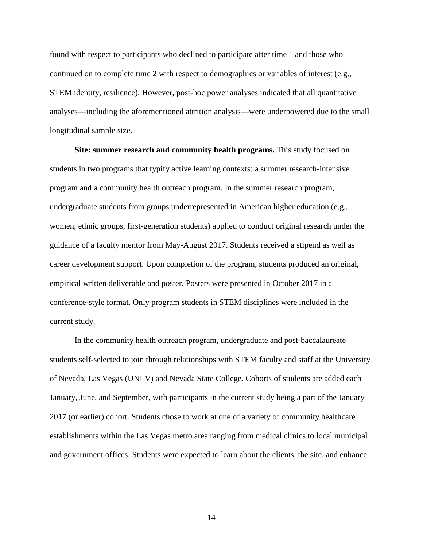found with respect to participants who declined to participate after time 1 and those who continued on to complete time 2 with respect to demographics or variables of interest (e.g., STEM identity, resilience). However, post-hoc power analyses indicated that all quantitative analyses—including the aforementioned attrition analysis—were underpowered due to the small longitudinal sample size.

<span id="page-22-0"></span>**Site: summer research and community health programs.** This study focused on students in two programs that typify active learning contexts: a summer research-intensive program and a community health outreach program. In the summer research program, undergraduate students from groups underrepresented in American higher education (e.g., women, ethnic groups, first-generation students) applied to conduct original research under the guidance of a faculty mentor from May-August 2017. Students received a stipend as well as career development support. Upon completion of the program, students produced an original, empirical written deliverable and poster. Posters were presented in October 2017 in a conference-style format. Only program students in STEM disciplines were included in the current study.

In the community health outreach program, undergraduate and post-baccalaureate students self-selected to join through relationships with STEM faculty and staff at the University of Nevada, Las Vegas (UNLV) and Nevada State College. Cohorts of students are added each January, June, and September, with participants in the current study being a part of the January 2017 (or earlier) cohort. Students chose to work at one of a variety of community healthcare establishments within the Las Vegas metro area ranging from medical clinics to local municipal and government offices. Students were expected to learn about the clients, the site, and enhance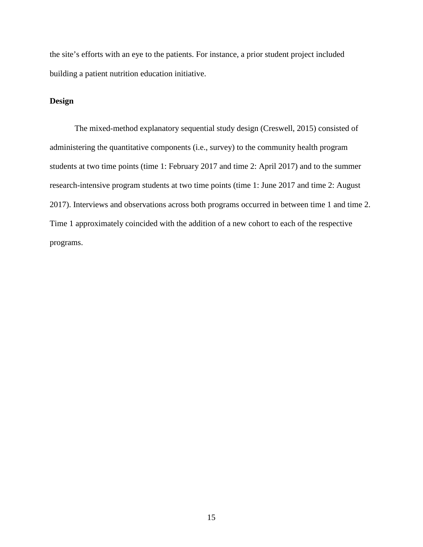the site's efforts with an eye to the patients. For instance, a prior student project included building a patient nutrition education initiative.

#### <span id="page-23-0"></span>**Design**

The mixed-method explanatory sequential study design (Creswell, 2015) consisted of administering the quantitative components (i.e., survey) to the community health program students at two time points (time 1: February 2017 and time 2: April 2017) and to the summer research-intensive program students at two time points (time 1: June 2017 and time 2: August 2017). Interviews and observations across both programs occurred in between time 1 and time 2. Time 1 approximately coincided with the addition of a new cohort to each of the respective programs.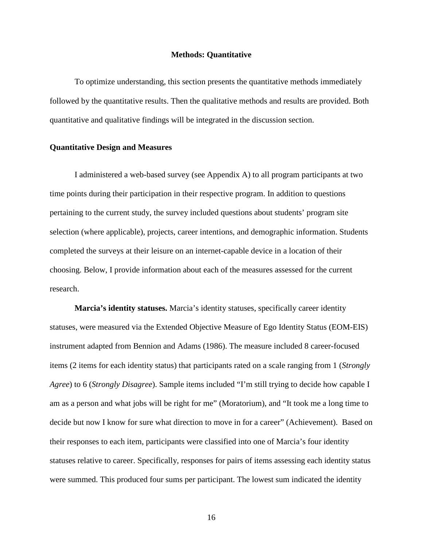#### **Methods: Quantitative**

<span id="page-24-0"></span>To optimize understanding, this section presents the quantitative methods immediately followed by the quantitative results. Then the qualitative methods and results are provided. Both quantitative and qualitative findings will be integrated in the discussion section.

#### <span id="page-24-1"></span>**Quantitative Design and Measures**

I administered a web-based survey (see Appendix A) to all program participants at two time points during their participation in their respective program. In addition to questions pertaining to the current study, the survey included questions about students' program site selection (where applicable), projects, career intentions, and demographic information. Students completed the surveys at their leisure on an internet-capable device in a location of their choosing. Below, I provide information about each of the measures assessed for the current research.

<span id="page-24-2"></span>**Marcia's identity statuses.** Marcia's identity statuses, specifically career identity statuses, were measured via the Extended Objective Measure of Ego Identity Status (EOM-EIS) instrument adapted from Bennion and Adams (1986). The measure included 8 career-focused items (2 items for each identity status) that participants rated on a scale ranging from 1 (*Strongly Agree*) to 6 (*Strongly Disagree*). Sample items included "I'm still trying to decide how capable I am as a person and what jobs will be right for me" (Moratorium), and "It took me a long time to decide but now I know for sure what direction to move in for a career" (Achievement). Based on their responses to each item, participants were classified into one of Marcia's four identity statuses relative to career. Specifically, responses for pairs of items assessing each identity status were summed. This produced four sums per participant. The lowest sum indicated the identity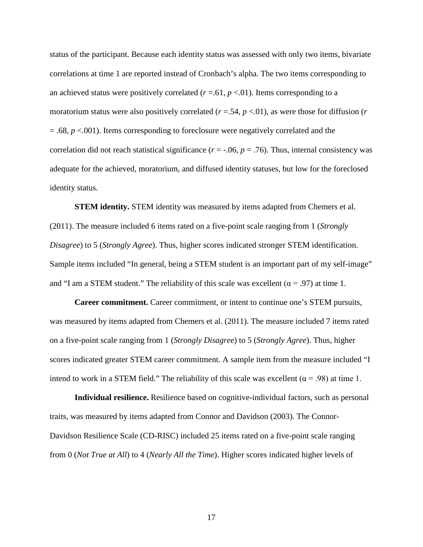status of the participant. Because each identity status was assessed with only two items, bivariate correlations at time 1 are reported instead of Cronbach's alpha. The two items corresponding to an achieved status were positively correlated  $(r = .61, p < .01)$ . Items corresponding to a moratorium status were also positively correlated (*r* =.54, *p* <.01), as were those for diffusion (*r* = .68, *p* <.001). Items corresponding to foreclosure were negatively correlated and the correlation did not reach statistical significance ( $r = -0.06$ ,  $p = 0.76$ ). Thus, internal consistency was adequate for the achieved, moratorium, and diffused identity statuses, but low for the foreclosed identity status.

<span id="page-25-0"></span>**STEM identity.** STEM identity was measured by items adapted from Chemers et al. (2011). The measure included 6 items rated on a five-point scale ranging from 1 (*Strongly Disagree*) to 5 (*Strongly Agree*). Thus, higher scores indicated stronger STEM identification. Sample items included "In general, being a STEM student is an important part of my self-image" and "I am a STEM student." The reliability of this scale was excellent ( $\alpha$  = .97) at time 1.

<span id="page-25-1"></span>**Career commitment.** Career commitment, or intent to continue one's STEM pursuits, was measured by items adapted from Chemers et al. (2011). The measure included 7 items rated on a five-point scale ranging from 1 (*Strongly Disagree*) to 5 (*Strongly Agree*). Thus, higher scores indicated greater STEM career commitment. A sample item from the measure included "I intend to work in a STEM field." The reliability of this scale was excellent ( $\alpha$  = .98) at time 1.

<span id="page-25-2"></span>**Individual resilience.** Resilience based on cognitive-individual factors, such as personal traits, was measured by items adapted from Connor and Davidson (2003). The Connor-Davidson Resilience Scale (CD-RISC) included 25 items rated on a five-point scale ranging from 0 (*Not True at All*) to 4 (*Nearly All the Time*). Higher scores indicated higher levels of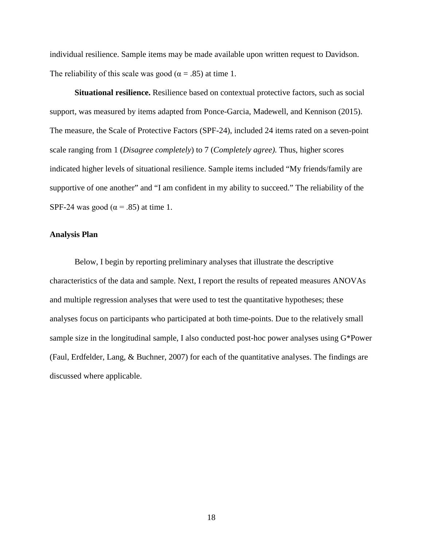individual resilience. Sample items may be made available upon written request to Davidson. The reliability of this scale was good ( $\alpha = .85$ ) at time 1.

<span id="page-26-0"></span>**Situational resilience.** Resilience based on contextual protective factors, such as social support, was measured by items adapted from Ponce-Garcia, Madewell, and Kennison (2015). The measure, the Scale of Protective Factors (SPF-24), included 24 items rated on a seven-point scale ranging from 1 (*Disagree completely*) to 7 (*Completely agree).* Thus, higher scores indicated higher levels of situational resilience. Sample items included "My friends/family are supportive of one another" and "I am confident in my ability to succeed." The reliability of the SPF-24 was good ( $\alpha$  = .85) at time 1.

#### <span id="page-26-1"></span>**Analysis Plan**

Below, I begin by reporting preliminary analyses that illustrate the descriptive characteristics of the data and sample. Next, I report the results of repeated measures ANOVAs and multiple regression analyses that were used to test the quantitative hypotheses; these analyses focus on participants who participated at both time-points. Due to the relatively small sample size in the longitudinal sample, I also conducted post-hoc power analyses using G\*Power (Faul, Erdfelder, Lang, & Buchner, 2007) for each of the quantitative analyses. The findings are discussed where applicable.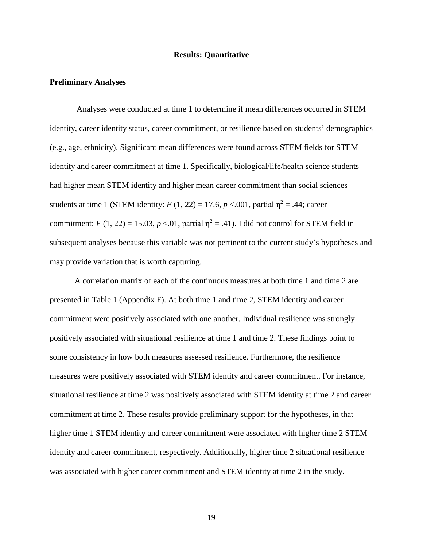#### **Results: Quantitative**

#### <span id="page-27-1"></span><span id="page-27-0"></span>**Preliminary Analyses**

Analyses were conducted at time 1 to determine if mean differences occurred in STEM identity, career identity status, career commitment, or resilience based on students' demographics (e.g., age, ethnicity). Significant mean differences were found across STEM fields for STEM identity and career commitment at time 1. Specifically, biological/life/health science students had higher mean STEM identity and higher mean career commitment than social sciences students at time 1 (STEM identity:  $F(1, 22) = 17.6$ ,  $p < .001$ , partial  $\eta^2 = .44$ ; career commitment:  $F(1, 22) = 15.03$ ,  $p < 0.01$ , partial  $\eta^2 = .41$ ). I did not control for STEM field in subsequent analyses because this variable was not pertinent to the current study's hypotheses and may provide variation that is worth capturing.

A correlation matrix of each of the continuous measures at both time 1 and time 2 are presented in Table 1 (Appendix F). At both time 1 and time 2, STEM identity and career commitment were positively associated with one another. Individual resilience was strongly positively associated with situational resilience at time 1 and time 2. These findings point to some consistency in how both measures assessed resilience. Furthermore, the resilience measures were positively associated with STEM identity and career commitment. For instance, situational resilience at time 2 was positively associated with STEM identity at time 2 and career commitment at time 2. These results provide preliminary support for the hypotheses, in that higher time 1 STEM identity and career commitment were associated with higher time 2 STEM identity and career commitment, respectively. Additionally, higher time 2 situational resilience was associated with higher career commitment and STEM identity at time 2 in the study.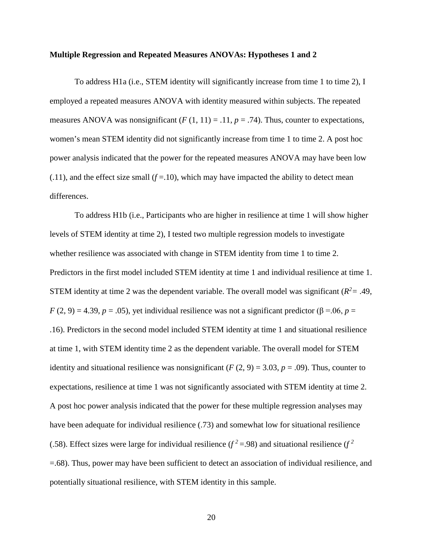#### <span id="page-28-0"></span>**Multiple Regression and Repeated Measures ANOVAs: Hypotheses 1 and 2**

To address H1a (i.e., STEM identity will significantly increase from time 1 to time 2), I employed a repeated measures ANOVA with identity measured within subjects. The repeated measures ANOVA was nonsignificant  $(F(1, 11) = .11, p = .74)$ . Thus, counter to expectations, women's mean STEM identity did not significantly increase from time 1 to time 2. A post hoc power analysis indicated that the power for the repeated measures ANOVA may have been low  $(0.11)$ , and the effect size small  $(f=10)$ , which may have impacted the ability to detect mean differences.

To address H1b (i.e., Participants who are higher in resilience at time 1 will show higher levels of STEM identity at time 2), I tested two multiple regression models to investigate whether resilience was associated with change in STEM identity from time 1 to time 2. Predictors in the first model included STEM identity at time 1 and individual resilience at time 1. STEM identity at time 2 was the dependent variable. The overall model was significant ( $R^2$  = .49, *F* (2, 9) = 4.39, *p* = .05), yet individual resilience was not a significant predictor ( $\beta$  = .06, *p* = .16). Predictors in the second model included STEM identity at time 1 and situational resilience at time 1, with STEM identity time 2 as the dependent variable. The overall model for STEM identity and situational resilience was nonsignificant ( $F(2, 9) = 3.03$ ,  $p = .09$ ). Thus, counter to expectations, resilience at time 1 was not significantly associated with STEM identity at time 2. A post hoc power analysis indicated that the power for these multiple regression analyses may have been adequate for individual resilience (.73) and somewhat low for situational resilience (.58). Effect sizes were large for individual resilience ( $f^2 = .98$ ) and situational resilience ( $f^2$ =.68). Thus, power may have been sufficient to detect an association of individual resilience, and potentially situational resilience, with STEM identity in this sample.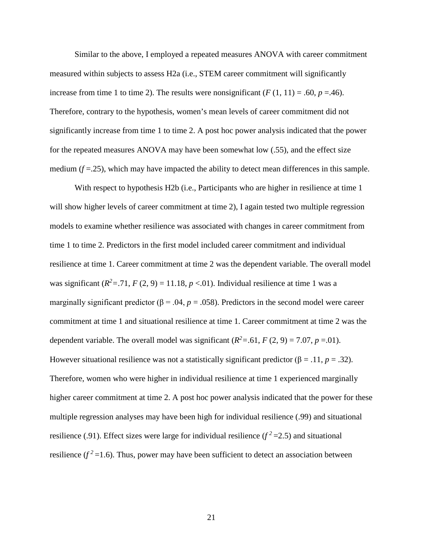Similar to the above, I employed a repeated measures ANOVA with career commitment measured within subjects to assess H2a (i.e., STEM career commitment will significantly increase from time 1 to time 2). The results were nonsignificant  $(F(1, 11) = .60, p = .46)$ . Therefore, contrary to the hypothesis, women's mean levels of career commitment did not significantly increase from time 1 to time 2. A post hoc power analysis indicated that the power for the repeated measures ANOVA may have been somewhat low (.55), and the effect size medium  $(f = .25)$ , which may have impacted the ability to detect mean differences in this sample.

With respect to hypothesis H2b (i.e., Participants who are higher in resilience at time 1 will show higher levels of career commitment at time 2), I again tested two multiple regression models to examine whether resilience was associated with changes in career commitment from time 1 to time 2. Predictors in the first model included career commitment and individual resilience at time 1. Career commitment at time 2 was the dependent variable. The overall model was significant  $(R^2 = .71, F(2, 9) = 11.18, p < .01)$ . Individual resilience at time 1 was a marginally significant predictor ( $\beta$  = .04, *p* = .058). Predictors in the second model were career commitment at time 1 and situational resilience at time 1. Career commitment at time 2 was the dependent variable. The overall model was significant  $(R^2 = .61, F(2, 9) = 7.07, p = .01)$ . However situational resilience was not a statistically significant predictor ( $\beta = .11$ ,  $p = .32$ ). Therefore, women who were higher in individual resilience at time 1 experienced marginally higher career commitment at time 2. A post hoc power analysis indicated that the power for these multiple regression analyses may have been high for individual resilience (.99) and situational resilience (.91). Effect sizes were large for individual resilience  $(f^2=2.5)$  and situational resilience  $(f^2=1.6)$ . Thus, power may have been sufficient to detect an association between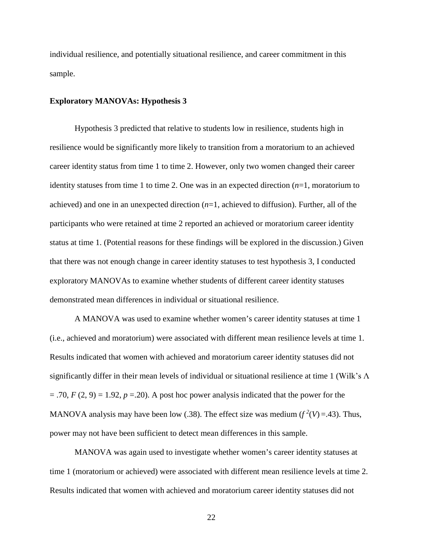individual resilience, and potentially situational resilience, and career commitment in this sample.

#### <span id="page-30-0"></span>**Exploratory MANOVAs: Hypothesis 3**

Hypothesis 3 predicted that relative to students low in resilience, students high in resilience would be significantly more likely to transition from a moratorium to an achieved career identity status from time 1 to time 2. However, only two women changed their career identity statuses from time 1 to time 2. One was in an expected direction (*n*=1, moratorium to achieved) and one in an unexpected direction (*n*=1, achieved to diffusion). Further, all of the participants who were retained at time 2 reported an achieved or moratorium career identity status at time 1. (Potential reasons for these findings will be explored in the discussion.) Given that there was not enough change in career identity statuses to test hypothesis 3, I conducted exploratory MANOVAs to examine whether students of different career identity statuses demonstrated mean differences in individual or situational resilience.

A MANOVA was used to examine whether women's career identity statuses at time 1 (i.e., achieved and moratorium) were associated with different mean resilience levels at time 1. Results indicated that women with achieved and moratorium career identity statuses did not significantly differ in their mean levels of individual or situational resilience at time 1 (Wilk's Λ  $=$  .70,  $F(2, 9) = 1.92$ ,  $p = 0.20$ . A post hoc power analysis indicated that the power for the MANOVA analysis may have been low (.38). The effect size was medium  $(f^2(V)=.43)$ . Thus, power may not have been sufficient to detect mean differences in this sample.

MANOVA was again used to investigate whether women's career identity statuses at time 1 (moratorium or achieved) were associated with different mean resilience levels at time 2. Results indicated that women with achieved and moratorium career identity statuses did not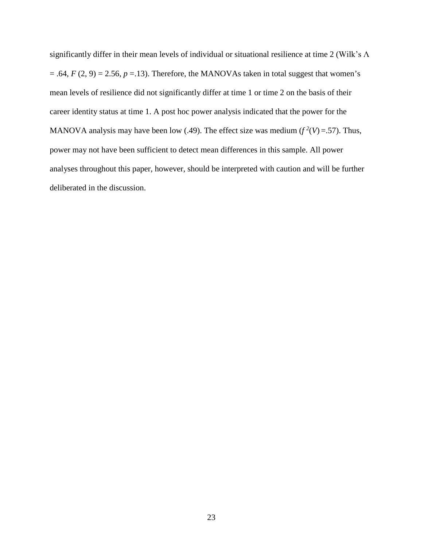significantly differ in their mean levels of individual or situational resilience at time 2 (Wilk's Λ  $= .64, F(2, 9) = 2.56, p = .13$ . Therefore, the MANOVAs taken in total suggest that women's mean levels of resilience did not significantly differ at time 1 or time 2 on the basis of their career identity status at time 1. A post hoc power analysis indicated that the power for the MANOVA analysis may have been low (.49). The effect size was medium  $(f^2(V)=.57)$ . Thus, power may not have been sufficient to detect mean differences in this sample. All power analyses throughout this paper, however, should be interpreted with caution and will be further deliberated in the discussion.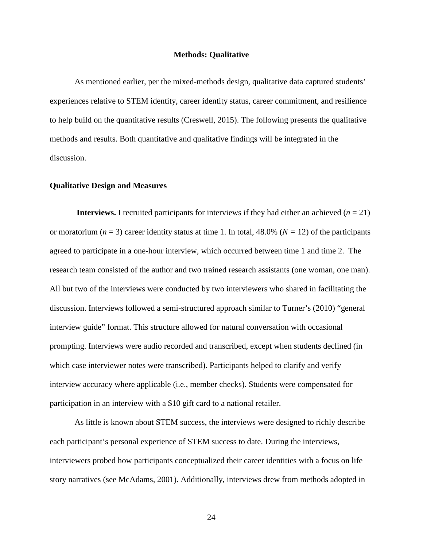#### **Methods: Qualitative**

<span id="page-32-0"></span>As mentioned earlier, per the mixed-methods design, qualitative data captured students' experiences relative to STEM identity, career identity status, career commitment, and resilience to help build on the quantitative results (Creswell, 2015). The following presents the qualitative methods and results. Both quantitative and qualitative findings will be integrated in the discussion.

#### <span id="page-32-1"></span>**Qualitative Design and Measures**

<span id="page-32-2"></span>**Interviews.** I recruited participants for interviews if they had either an achieved  $(n = 21)$ or moratorium  $(n = 3)$  career identity status at time 1. In total, 48.0% ( $N = 12$ ) of the participants agreed to participate in a one-hour interview, which occurred between time 1 and time 2. The research team consisted of the author and two trained research assistants (one woman, one man). All but two of the interviews were conducted by two interviewers who shared in facilitating the discussion. Interviews followed a semi-structured approach similar to Turner's (2010) "general interview guide" format. This structure allowed for natural conversation with occasional prompting. Interviews were audio recorded and transcribed, except when students declined (in which case interviewer notes were transcribed). Participants helped to clarify and verify interview accuracy where applicable (i.e., member checks). Students were compensated for participation in an interview with a \$10 gift card to a national retailer.

As little is known about STEM success, the interviews were designed to richly describe each participant's personal experience of STEM success to date. During the interviews, interviewers probed how participants conceptualized their career identities with a focus on life story narratives (see McAdams, 2001). Additionally, interviews drew from methods adopted in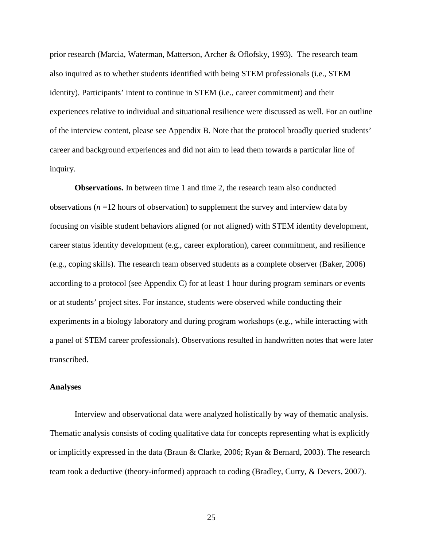prior research (Marcia, Waterman, Matterson, Archer & Oflofsky, 1993). The research team also inquired as to whether students identified with being STEM professionals (i.e., STEM identity). Participants' intent to continue in STEM (i.e., career commitment) and their experiences relative to individual and situational resilience were discussed as well. For an outline of the interview content, please see Appendix B. Note that the protocol broadly queried students' career and background experiences and did not aim to lead them towards a particular line of inquiry.

<span id="page-33-0"></span>**Observations.** In between time 1 and time 2, the research team also conducted observations (*n* =12 hours of observation) to supplement the survey and interview data by focusing on visible student behaviors aligned (or not aligned) with STEM identity development, career status identity development (e.g., career exploration), career commitment, and resilience (e.g., coping skills). The research team observed students as a complete observer (Baker, 2006) according to a protocol (see Appendix C) for at least 1 hour during program seminars or events or at students' project sites. For instance, students were observed while conducting their experiments in a biology laboratory and during program workshops (e.g., while interacting with a panel of STEM career professionals). Observations resulted in handwritten notes that were later transcribed.

#### <span id="page-33-1"></span>**Analyses**

Interview and observational data were analyzed holistically by way of thematic analysis. Thematic analysis consists of coding qualitative data for concepts representing what is explicitly or implicitly expressed in the data (Braun & Clarke, 2006; Ryan & Bernard, 2003). The research team took a deductive (theory-informed) approach to coding (Bradley, Curry, & Devers, 2007).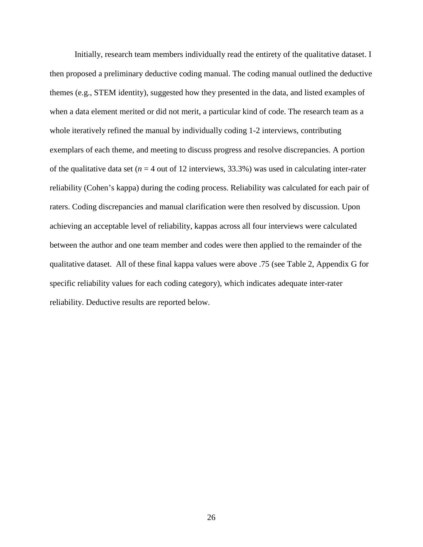Initially, research team members individually read the entirety of the qualitative dataset. I then proposed a preliminary deductive coding manual. The coding manual outlined the deductive themes (e.g., STEM identity), suggested how they presented in the data, and listed examples of when a data element merited or did not merit, a particular kind of code. The research team as a whole iteratively refined the manual by individually coding 1-2 interviews, contributing exemplars of each theme, and meeting to discuss progress and resolve discrepancies. A portion of the qualitative data set ( $n = 4$  out of 12 interviews, 33.3%) was used in calculating inter-rater reliability (Cohen's kappa) during the coding process. Reliability was calculated for each pair of raters. Coding discrepancies and manual clarification were then resolved by discussion. Upon achieving an acceptable level of reliability, kappas across all four interviews were calculated between the author and one team member and codes were then applied to the remainder of the qualitative dataset. All of these final kappa values were above .75 (see Table 2, Appendix G for specific reliability values for each coding category), which indicates adequate inter-rater reliability. Deductive results are reported below.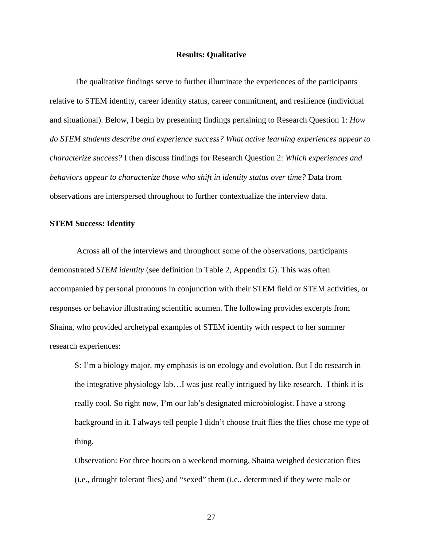#### **Results: Qualitative**

<span id="page-35-0"></span>The qualitative findings serve to further illuminate the experiences of the participants relative to STEM identity, career identity status, career commitment, and resilience (individual and situational). Below, I begin by presenting findings pertaining to Research Question 1: *How do STEM students describe and experience success? What active learning experiences appear to characterize success?* I then discuss findings for Research Question 2: *Which experiences and behaviors appear to characterize those who shift in identity status over time?* Data from observations are interspersed throughout to further contextualize the interview data.

#### <span id="page-35-1"></span>**STEM Success: Identity**

Across all of the interviews and throughout some of the observations, participants demonstrated *STEM identity* (see definition in Table 2, Appendix G). This was often accompanied by personal pronouns in conjunction with their STEM field or STEM activities, or responses or behavior illustrating scientific acumen. The following provides excerpts from Shaina, who provided archetypal examples of STEM identity with respect to her summer research experiences:

S: I'm a biology major, my emphasis is on ecology and evolution. But I do research in the integrative physiology lab…I was just really intrigued by like research. I think it is really cool. So right now, I'm our lab's designated microbiologist. I have a strong background in it. I always tell people I didn't choose fruit flies the flies chose me type of thing.

Observation: For three hours on a weekend morning, Shaina weighed desiccation flies (i.e., drought tolerant flies) and "sexed" them (i.e., determined if they were male or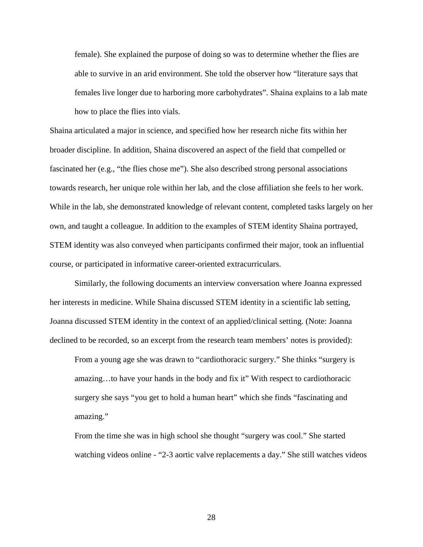female). She explained the purpose of doing so was to determine whether the flies are able to survive in an arid environment. She told the observer how "literature says that females live longer due to harboring more carbohydrates". Shaina explains to a lab mate how to place the flies into vials.

Shaina articulated a major in science, and specified how her research niche fits within her broader discipline. In addition, Shaina discovered an aspect of the field that compelled or fascinated her (e.g., "the flies chose me"). She also described strong personal associations towards research, her unique role within her lab, and the close affiliation she feels to her work. While in the lab, she demonstrated knowledge of relevant content, completed tasks largely on her own, and taught a colleague. In addition to the examples of STEM identity Shaina portrayed, STEM identity was also conveyed when participants confirmed their major, took an influential course, or participated in informative career-oriented extracurriculars.

Similarly, the following documents an interview conversation where Joanna expressed her interests in medicine. While Shaina discussed STEM identity in a scientific lab setting, Joanna discussed STEM identity in the context of an applied/clinical setting. (Note: Joanna declined to be recorded, so an excerpt from the research team members' notes is provided):

From a young age she was drawn to "cardiothoracic surgery." She thinks "surgery is amazing…to have your hands in the body and fix it" With respect to cardiothoracic surgery she says "you get to hold a human heart" which she finds "fascinating and amazing."

From the time she was in high school she thought "surgery was cool." She started watching videos online - "2-3 aortic valve replacements a day." She still watches videos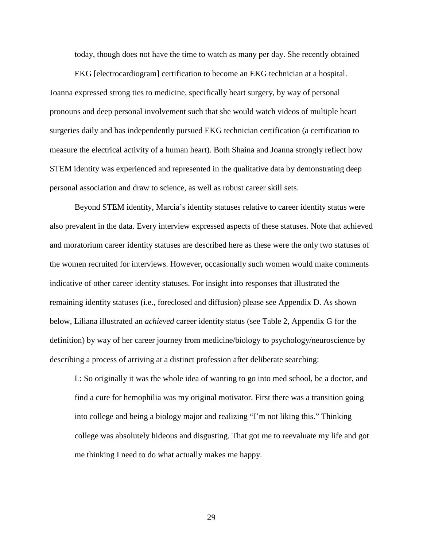today, though does not have the time to watch as many per day. She recently obtained

EKG [electrocardiogram] certification to become an EKG technician at a hospital. Joanna expressed strong ties to medicine, specifically heart surgery, by way of personal pronouns and deep personal involvement such that she would watch videos of multiple heart surgeries daily and has independently pursued EKG technician certification (a certification to measure the electrical activity of a human heart). Both Shaina and Joanna strongly reflect how STEM identity was experienced and represented in the qualitative data by demonstrating deep personal association and draw to science, as well as robust career skill sets.

Beyond STEM identity, Marcia's identity statuses relative to career identity status were also prevalent in the data. Every interview expressed aspects of these statuses. Note that achieved and moratorium career identity statuses are described here as these were the only two statuses of the women recruited for interviews. However, occasionally such women would make comments indicative of other career identity statuses. For insight into responses that illustrated the remaining identity statuses (i.e., foreclosed and diffusion) please see Appendix D. As shown below, Liliana illustrated an *achieved* career identity status (see Table 2, Appendix G for the definition) by way of her career journey from medicine/biology to psychology/neuroscience by describing a process of arriving at a distinct profession after deliberate searching:

L: So originally it was the whole idea of wanting to go into med school, be a doctor, and find a cure for hemophilia was my original motivator. First there was a transition going into college and being a biology major and realizing "I'm not liking this." Thinking college was absolutely hideous and disgusting. That got me to reevaluate my life and got me thinking I need to do what actually makes me happy.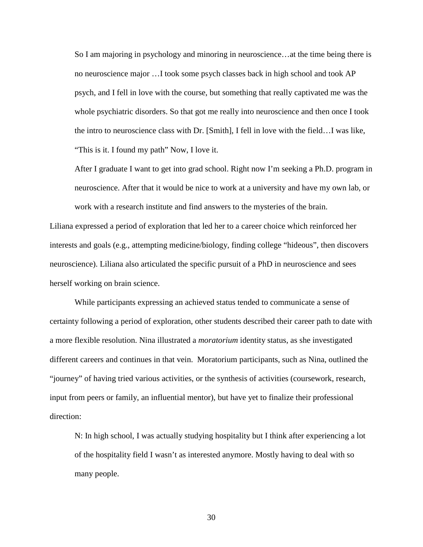So I am majoring in psychology and minoring in neuroscience…at the time being there is no neuroscience major …I took some psych classes back in high school and took AP psych, and I fell in love with the course, but something that really captivated me was the whole psychiatric disorders. So that got me really into neuroscience and then once I took the intro to neuroscience class with Dr. [Smith], I fell in love with the field…I was like, "This is it. I found my path" Now, I love it.

After I graduate I want to get into grad school. Right now I'm seeking a Ph.D. program in neuroscience. After that it would be nice to work at a university and have my own lab, or work with a research institute and find answers to the mysteries of the brain.

Liliana expressed a period of exploration that led her to a career choice which reinforced her interests and goals (e.g., attempting medicine/biology, finding college "hideous", then discovers neuroscience). Liliana also articulated the specific pursuit of a PhD in neuroscience and sees herself working on brain science.

While participants expressing an achieved status tended to communicate a sense of certainty following a period of exploration, other students described their career path to date with a more flexible resolution. Nina illustrated a *moratorium* identity status, as she investigated different careers and continues in that vein. Moratorium participants, such as Nina, outlined the "journey" of having tried various activities, or the synthesis of activities (coursework, research, input from peers or family, an influential mentor), but have yet to finalize their professional direction:

N: In high school, I was actually studying hospitality but I think after experiencing a lot of the hospitality field I wasn't as interested anymore. Mostly having to deal with so many people.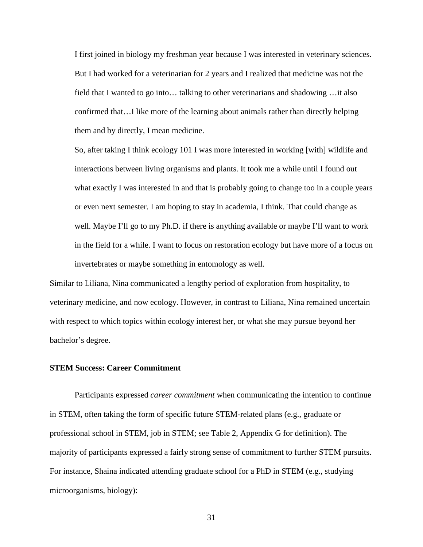I first joined in biology my freshman year because I was interested in veterinary sciences. But I had worked for a veterinarian for 2 years and I realized that medicine was not the field that I wanted to go into… talking to other veterinarians and shadowing …it also confirmed that…I like more of the learning about animals rather than directly helping them and by directly, I mean medicine.

So, after taking I think ecology 101 I was more interested in working [with] wildlife and interactions between living organisms and plants. It took me a while until I found out what exactly I was interested in and that is probably going to change too in a couple years or even next semester. I am hoping to stay in academia, I think. That could change as well. Maybe I'll go to my Ph.D. if there is anything available or maybe I'll want to work in the field for a while. I want to focus on restoration ecology but have more of a focus on invertebrates or maybe something in entomology as well.

Similar to Liliana, Nina communicated a lengthy period of exploration from hospitality, to veterinary medicine, and now ecology. However, in contrast to Liliana, Nina remained uncertain with respect to which topics within ecology interest her, or what she may pursue beyond her bachelor's degree.

#### **STEM Success: Career Commitment**

Participants expressed *career commitment* when communicating the intention to continue in STEM, often taking the form of specific future STEM-related plans (e.g., graduate or professional school in STEM, job in STEM; see Table 2, Appendix G for definition). The majority of participants expressed a fairly strong sense of commitment to further STEM pursuits. For instance, Shaina indicated attending graduate school for a PhD in STEM (e.g., studying microorganisms, biology):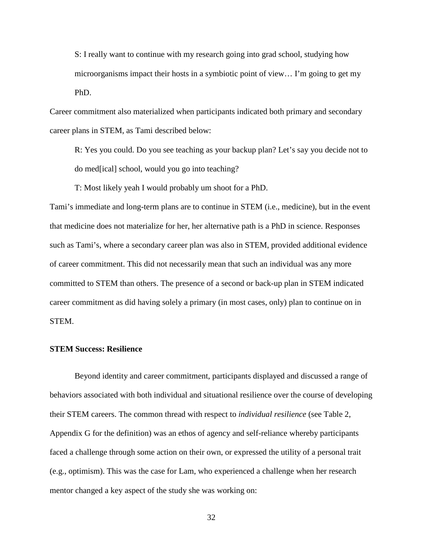S: I really want to continue with my research going into grad school, studying how microorganisms impact their hosts in a symbiotic point of view… I'm going to get my PhD.

Career commitment also materialized when participants indicated both primary and secondary career plans in STEM, as Tami described below:

R: Yes you could. Do you see teaching as your backup plan? Let's say you decide not to do med[ical] school, would you go into teaching?

T: Most likely yeah I would probably um shoot for a PhD.

Tami's immediate and long-term plans are to continue in STEM (i.e., medicine), but in the event that medicine does not materialize for her, her alternative path is a PhD in science. Responses such as Tami's, where a secondary career plan was also in STEM, provided additional evidence of career commitment. This did not necessarily mean that such an individual was any more committed to STEM than others. The presence of a second or back-up plan in STEM indicated career commitment as did having solely a primary (in most cases, only) plan to continue on in STEM.

#### **STEM Success: Resilience**

Beyond identity and career commitment, participants displayed and discussed a range of behaviors associated with both individual and situational resilience over the course of developing their STEM careers. The common thread with respect to *individual resilience* (see Table 2, Appendix G for the definition) was an ethos of agency and self-reliance whereby participants faced a challenge through some action on their own, or expressed the utility of a personal trait (e.g., optimism). This was the case for Lam, who experienced a challenge when her research mentor changed a key aspect of the study she was working on: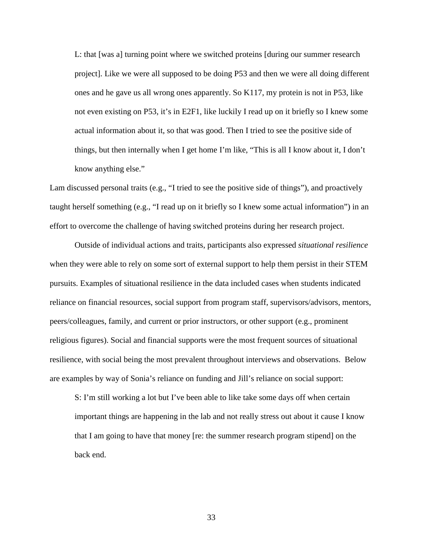L: that [was a] turning point where we switched proteins [during our summer research project]. Like we were all supposed to be doing P53 and then we were all doing different ones and he gave us all wrong ones apparently. So K117, my protein is not in P53, like not even existing on P53, it's in E2F1, like luckily I read up on it briefly so I knew some actual information about it, so that was good. Then I tried to see the positive side of things, but then internally when I get home I'm like, "This is all I know about it, I don't know anything else."

Lam discussed personal traits (e.g., "I tried to see the positive side of things"), and proactively taught herself something (e.g., "I read up on it briefly so I knew some actual information") in an effort to overcome the challenge of having switched proteins during her research project.

Outside of individual actions and traits, participants also expressed *situational resilience* when they were able to rely on some sort of external support to help them persist in their STEM pursuits. Examples of situational resilience in the data included cases when students indicated reliance on financial resources, social support from program staff, supervisors/advisors, mentors, peers/colleagues, family, and current or prior instructors, or other support (e.g., prominent religious figures). Social and financial supports were the most frequent sources of situational resilience, with social being the most prevalent throughout interviews and observations. Below are examples by way of Sonia's reliance on funding and Jill's reliance on social support:

S: I'm still working a lot but I've been able to like take some days off when certain important things are happening in the lab and not really stress out about it cause I know that I am going to have that money [re: the summer research program stipend] on the back end.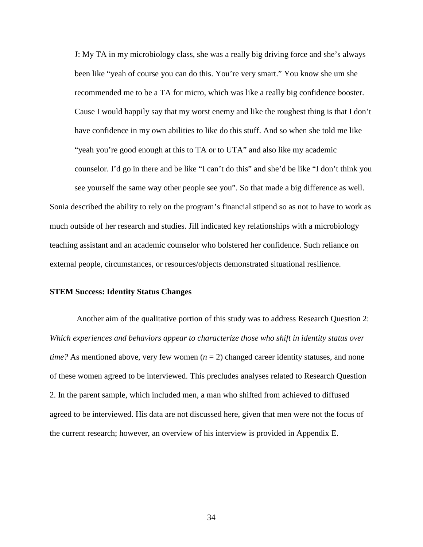J: My TA in my microbiology class, she was a really big driving force and she's always been like "yeah of course you can do this. You're very smart." You know she um she recommended me to be a TA for micro, which was like a really big confidence booster. Cause I would happily say that my worst enemy and like the roughest thing is that I don't have confidence in my own abilities to like do this stuff. And so when she told me like "yeah you're good enough at this to TA or to UTA" and also like my academic counselor. I'd go in there and be like "I can't do this" and she'd be like "I don't think you see yourself the same way other people see you". So that made a big difference as well.

Sonia described the ability to rely on the program's financial stipend so as not to have to work as much outside of her research and studies. Jill indicated key relationships with a microbiology teaching assistant and an academic counselor who bolstered her confidence. Such reliance on external people, circumstances, or resources/objects demonstrated situational resilience.

#### **STEM Success: Identity Status Changes**

Another aim of the qualitative portion of this study was to address Research Question 2: *Which experiences and behaviors appear to characterize those who shift in identity status over time?* As mentioned above, very few women  $(n = 2)$  changed career identity statuses, and none of these women agreed to be interviewed. This precludes analyses related to Research Question 2. In the parent sample, which included men, a man who shifted from achieved to diffused agreed to be interviewed. His data are not discussed here, given that men were not the focus of the current research; however, an overview of his interview is provided in Appendix E.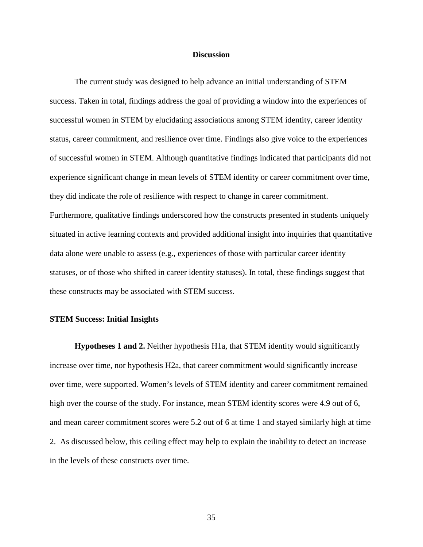#### **Discussion**

The current study was designed to help advance an initial understanding of STEM success. Taken in total, findings address the goal of providing a window into the experiences of successful women in STEM by elucidating associations among STEM identity, career identity status, career commitment, and resilience over time. Findings also give voice to the experiences of successful women in STEM. Although quantitative findings indicated that participants did not experience significant change in mean levels of STEM identity or career commitment over time, they did indicate the role of resilience with respect to change in career commitment. Furthermore, qualitative findings underscored how the constructs presented in students uniquely situated in active learning contexts and provided additional insight into inquiries that quantitative data alone were unable to assess (e.g., experiences of those with particular career identity statuses, or of those who shifted in career identity statuses). In total, these findings suggest that these constructs may be associated with STEM success.

#### **STEM Success: Initial Insights**

**Hypotheses 1 and 2.** Neither hypothesis H1a, that STEM identity would significantly increase over time, nor hypothesis H2a, that career commitment would significantly increase over time, were supported. Women's levels of STEM identity and career commitment remained high over the course of the study. For instance, mean STEM identity scores were 4.9 out of 6, and mean career commitment scores were 5.2 out of 6 at time 1 and stayed similarly high at time 2. As discussed below, this ceiling effect may help to explain the inability to detect an increase in the levels of these constructs over time.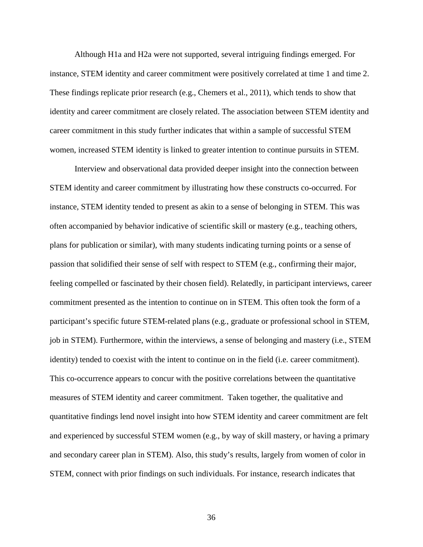Although H1a and H2a were not supported, several intriguing findings emerged. For instance, STEM identity and career commitment were positively correlated at time 1 and time 2. These findings replicate prior research (e.g., Chemers et al., 2011), which tends to show that identity and career commitment are closely related. The association between STEM identity and career commitment in this study further indicates that within a sample of successful STEM women, increased STEM identity is linked to greater intention to continue pursuits in STEM.

Interview and observational data provided deeper insight into the connection between STEM identity and career commitment by illustrating how these constructs co-occurred. For instance, STEM identity tended to present as akin to a sense of belonging in STEM. This was often accompanied by behavior indicative of scientific skill or mastery (e.g., teaching others, plans for publication or similar), with many students indicating turning points or a sense of passion that solidified their sense of self with respect to STEM (e.g., confirming their major, feeling compelled or fascinated by their chosen field). Relatedly, in participant interviews, career commitment presented as the intention to continue on in STEM. This often took the form of a participant's specific future STEM-related plans (e.g., graduate or professional school in STEM, job in STEM). Furthermore, within the interviews, a sense of belonging and mastery (i.e., STEM identity) tended to coexist with the intent to continue on in the field (i.e. career commitment). This co-occurrence appears to concur with the positive correlations between the quantitative measures of STEM identity and career commitment. Taken together, the qualitative and quantitative findings lend novel insight into how STEM identity and career commitment are felt and experienced by successful STEM women (e.g., by way of skill mastery, or having a primary and secondary career plan in STEM). Also, this study's results, largely from women of color in STEM, connect with prior findings on such individuals. For instance, research indicates that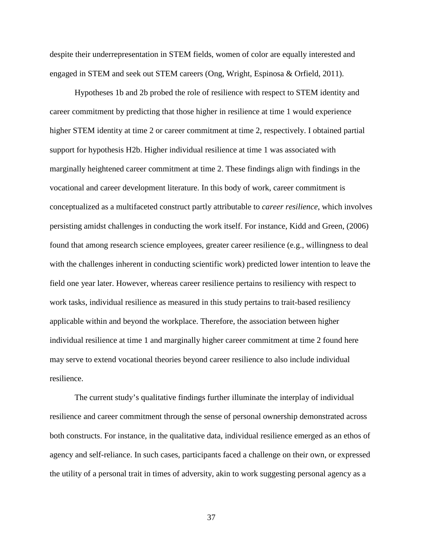despite their underrepresentation in STEM fields, women of color are equally interested and engaged in STEM and seek out STEM careers (Ong, Wright, Espinosa & Orfield, 2011).

Hypotheses 1b and 2b probed the role of resilience with respect to STEM identity and career commitment by predicting that those higher in resilience at time 1 would experience higher STEM identity at time 2 or career commitment at time 2, respectively. I obtained partial support for hypothesis H2b. Higher individual resilience at time 1 was associated with marginally heightened career commitment at time 2. These findings align with findings in the vocational and career development literature. In this body of work, career commitment is conceptualized as a multifaceted construct partly attributable to *career resilience*, which involves persisting amidst challenges in conducting the work itself. For instance, Kidd and Green, (2006) found that among research science employees, greater career resilience (e.g., willingness to deal with the challenges inherent in conducting scientific work) predicted lower intention to leave the field one year later. However, whereas career resilience pertains to resiliency with respect to work tasks, individual resilience as measured in this study pertains to trait-based resiliency applicable within and beyond the workplace. Therefore, the association between higher individual resilience at time 1 and marginally higher career commitment at time 2 found here may serve to extend vocational theories beyond career resilience to also include individual resilience.

The current study's qualitative findings further illuminate the interplay of individual resilience and career commitment through the sense of personal ownership demonstrated across both constructs. For instance, in the qualitative data, individual resilience emerged as an ethos of agency and self-reliance. In such cases, participants faced a challenge on their own, or expressed the utility of a personal trait in times of adversity, akin to work suggesting personal agency as a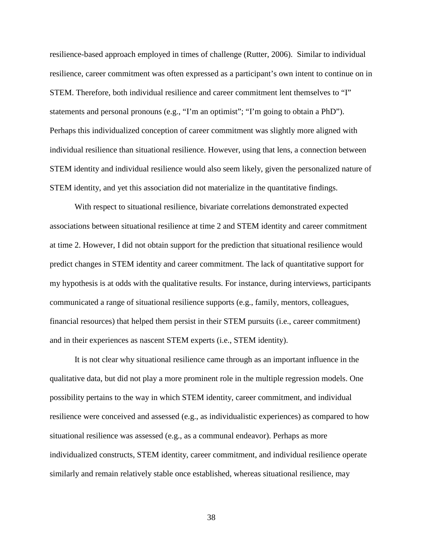resilience-based approach employed in times of challenge (Rutter, 2006). Similar to individual resilience, career commitment was often expressed as a participant's own intent to continue on in STEM. Therefore, both individual resilience and career commitment lent themselves to "I" statements and personal pronouns (e.g., "I'm an optimist"; "I'm going to obtain a PhD"). Perhaps this individualized conception of career commitment was slightly more aligned with individual resilience than situational resilience. However, using that lens, a connection between STEM identity and individual resilience would also seem likely, given the personalized nature of STEM identity, and yet this association did not materialize in the quantitative findings.

With respect to situational resilience, bivariate correlations demonstrated expected associations between situational resilience at time 2 and STEM identity and career commitment at time 2. However, I did not obtain support for the prediction that situational resilience would predict changes in STEM identity and career commitment. The lack of quantitative support for my hypothesis is at odds with the qualitative results. For instance, during interviews, participants communicated a range of situational resilience supports (e.g., family, mentors, colleagues, financial resources) that helped them persist in their STEM pursuits (i.e., career commitment) and in their experiences as nascent STEM experts (i.e., STEM identity).

It is not clear why situational resilience came through as an important influence in the qualitative data, but did not play a more prominent role in the multiple regression models. One possibility pertains to the way in which STEM identity, career commitment, and individual resilience were conceived and assessed (e.g., as individualistic experiences) as compared to how situational resilience was assessed (e.g., as a communal endeavor). Perhaps as more individualized constructs, STEM identity, career commitment, and individual resilience operate similarly and remain relatively stable once established, whereas situational resilience, may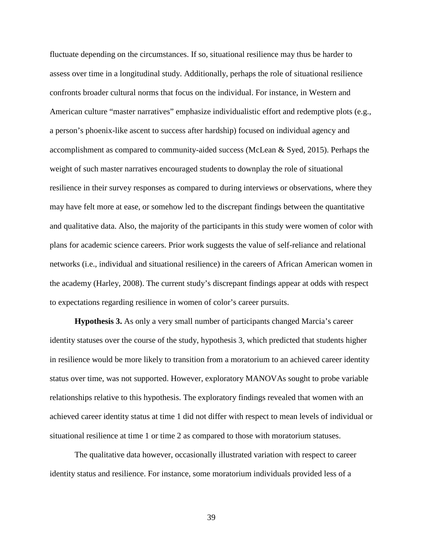fluctuate depending on the circumstances. If so, situational resilience may thus be harder to assess over time in a longitudinal study. Additionally, perhaps the role of situational resilience confronts broader cultural norms that focus on the individual. For instance, in Western and American culture "master narratives" emphasize individualistic effort and redemptive plots (e.g., a person's phoenix-like ascent to success after hardship) focused on individual agency and accomplishment as compared to community-aided success (McLean & Syed, 2015). Perhaps the weight of such master narratives encouraged students to downplay the role of situational resilience in their survey responses as compared to during interviews or observations, where they may have felt more at ease, or somehow led to the discrepant findings between the quantitative and qualitative data. Also, the majority of the participants in this study were women of color with plans for academic science careers. Prior work suggests the value of self-reliance and relational networks (i.e., individual and situational resilience) in the careers of African American women in the academy (Harley, 2008). The current study's discrepant findings appear at odds with respect to expectations regarding resilience in women of color's career pursuits.

**Hypothesis 3.** As only a very small number of participants changed Marcia's career identity statuses over the course of the study, hypothesis 3, which predicted that students higher in resilience would be more likely to transition from a moratorium to an achieved career identity status over time, was not supported. However, exploratory MANOVAs sought to probe variable relationships relative to this hypothesis. The exploratory findings revealed that women with an achieved career identity status at time 1 did not differ with respect to mean levels of individual or situational resilience at time 1 or time 2 as compared to those with moratorium statuses.

The qualitative data however, occasionally illustrated variation with respect to career identity status and resilience. For instance, some moratorium individuals provided less of a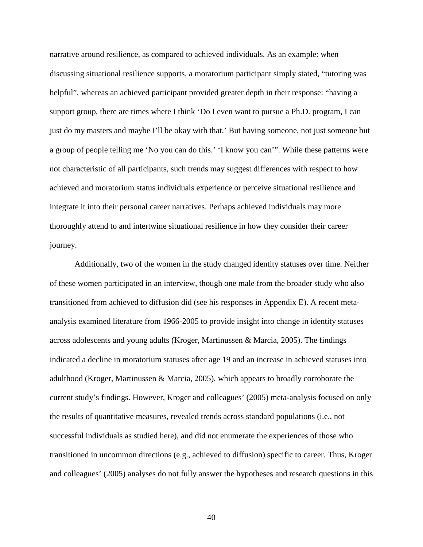narrative around resilience, as compared to achieved individuals. As an example: when discussing situational resilience supports, a moratorium participant simply stated, "tutoring was helpful", whereas an achieved participant provided greater depth in their response: "having a support group, there are times where I think 'Do I even want to pursue a Ph.D. program, I can just do my masters and maybe I'll be okay with that.' But having someone, not just someone but a group of people telling me 'No you can do this.' 'I know you can'". While these patterns were not characteristic of all participants, such trends may suggest differences with respect to how achieved and moratorium status individuals experience or perceive situational resilience and integrate it into their personal career narratives. Perhaps achieved individuals may more thoroughly attend to and intertwine situational resilience in how they consider their career journey.

Additionally, two of the women in the study changed identity statuses over time. Neither of these women participated in an interview, though one male from the broader study who also transitioned from achieved to diffusion did (see his responses in Appendix E). A recent metaanalysis examined literature from 1966-2005 to provide insight into change in identity statuses across adolescents and young adults (Kroger, Martinussen & Marcia, 2005). The findings indicated a decline in moratorium statuses after age 19 and an increase in achieved statuses into adulthood (Kroger, Martinussen & Marcia, 2005), which appears to broadly corroborate the current study's findings. However, Kroger and colleagues' (2005) meta-analysis focused on only the results of quantitative measures, revealed trends across standard populations (i.e., not successful individuals as studied here), and did not enumerate the experiences of those who transitioned in uncommon directions (e.g., achieved to diffusion) specific to career. Thus, Kroger and colleagues' (2005) analyses do not fully answer the hypotheses and research questions in this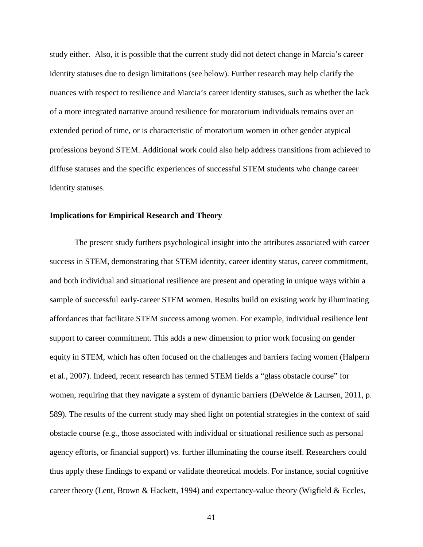study either. Also, it is possible that the current study did not detect change in Marcia's career identity statuses due to design limitations (see below). Further research may help clarify the nuances with respect to resilience and Marcia's career identity statuses, such as whether the lack of a more integrated narrative around resilience for moratorium individuals remains over an extended period of time, or is characteristic of moratorium women in other gender atypical professions beyond STEM. Additional work could also help address transitions from achieved to diffuse statuses and the specific experiences of successful STEM students who change career identity statuses.

#### **Implications for Empirical Research and Theory**

The present study furthers psychological insight into the attributes associated with career success in STEM, demonstrating that STEM identity, career identity status, career commitment, and both individual and situational resilience are present and operating in unique ways within a sample of successful early-career STEM women. Results build on existing work by illuminating affordances that facilitate STEM success among women. For example, individual resilience lent support to career commitment. This adds a new dimension to prior work focusing on gender equity in STEM, which has often focused on the challenges and barriers facing women (Halpern et al., 2007). Indeed, recent research has termed STEM fields a "glass obstacle course" for women, requiring that they navigate a system of dynamic barriers (DeWelde & Laursen, 2011, p. 589). The results of the current study may shed light on potential strategies in the context of said obstacle course (e.g., those associated with individual or situational resilience such as personal agency efforts, or financial support) vs. further illuminating the course itself. Researchers could thus apply these findings to expand or validate theoretical models. For instance, social cognitive career theory (Lent, Brown & Hackett, 1994) and expectancy-value theory (Wigfield & Eccles,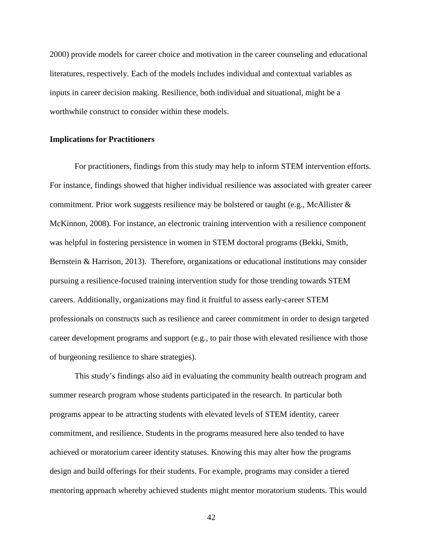2000) provide models for career choice and motivation in the career counseling and educational literatures, respectively. Each of the models includes individual and contextual variables as inputs in career decision making. Resilience, both individual and situational, might be a worthwhile construct to consider within these models.

#### **Implications for Practitioners**

For practitioners, findings from this study may help to inform STEM intervention efforts. For instance, findings showed that higher individual resilience was associated with greater career commitment. Prior work suggests resilience may be bolstered or taught (e.g., McAllister & McKinnon, 2008). For instance, an electronic training intervention with a resilience component was helpful in fostering persistence in women in STEM doctoral programs (Bekki, Smith, Bernstein & Harrison, 2013). Therefore, organizations or educational institutions may consider pursuing a resilience-focused training intervention study for those trending towards STEM careers. Additionally, organizations may find it fruitful to assess early-career STEM professionals on constructs such as resilience and career commitment in order to design targeted career development programs and support (e.g., to pair those with elevated resilience with those of burgeoning resilience to share strategies).

This study's findings also aid in evaluating the community health outreach program and summer research program whose students participated in the research. In particular both programs appear to be attracting students with elevated levels of STEM identity, career commitment, and resilience. Students in the programs measured here also tended to have achieved or moratorium career identity statuses. Knowing this may alter how the programs design and build offerings for their students. For example, programs may consider a tiered mentoring approach whereby achieved students might mentor moratorium students. This would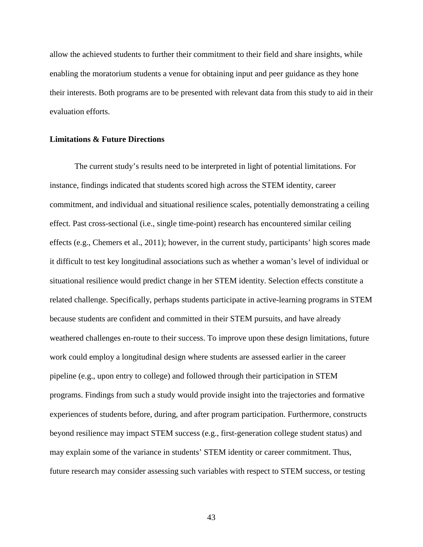allow the achieved students to further their commitment to their field and share insights, while enabling the moratorium students a venue for obtaining input and peer guidance as they hone their interests. Both programs are to be presented with relevant data from this study to aid in their evaluation efforts.

#### **Limitations & Future Directions**

The current study's results need to be interpreted in light of potential limitations. For instance, findings indicated that students scored high across the STEM identity, career commitment, and individual and situational resilience scales, potentially demonstrating a ceiling effect. Past cross-sectional (i.e., single time-point) research has encountered similar ceiling effects (e.g., Chemers et al., 2011); however, in the current study, participants' high scores made it difficult to test key longitudinal associations such as whether a woman's level of individual or situational resilience would predict change in her STEM identity. Selection effects constitute a related challenge. Specifically, perhaps students participate in active-learning programs in STEM because students are confident and committed in their STEM pursuits, and have already weathered challenges en-route to their success. To improve upon these design limitations, future work could employ a longitudinal design where students are assessed earlier in the career pipeline (e.g., upon entry to college) and followed through their participation in STEM programs. Findings from such a study would provide insight into the trajectories and formative experiences of students before, during, and after program participation. Furthermore, constructs beyond resilience may impact STEM success (e.g., first-generation college student status) and may explain some of the variance in students' STEM identity or career commitment. Thus, future research may consider assessing such variables with respect to STEM success, or testing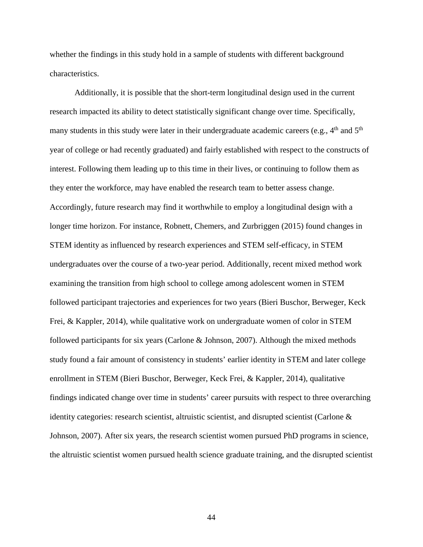whether the findings in this study hold in a sample of students with different background characteristics.

Additionally, it is possible that the short-term longitudinal design used in the current research impacted its ability to detect statistically significant change over time. Specifically, many students in this study were later in their undergraduate academic careers (e.g.,  $4<sup>th</sup>$  and  $5<sup>th</sup>$ ) year of college or had recently graduated) and fairly established with respect to the constructs of interest. Following them leading up to this time in their lives, or continuing to follow them as they enter the workforce, may have enabled the research team to better assess change. Accordingly, future research may find it worthwhile to employ a longitudinal design with a longer time horizon. For instance, Robnett, Chemers, and Zurbriggen (2015) found changes in STEM identity as influenced by research experiences and STEM self-efficacy, in STEM undergraduates over the course of a two-year period. Additionally, recent mixed method work examining the transition from high school to college among adolescent women in STEM followed participant trajectories and experiences for two years (Bieri Buschor, Berweger, Keck Frei, & Kappler, 2014), while qualitative work on undergraduate women of color in STEM followed participants for six years (Carlone & Johnson, 2007). Although the mixed methods study found a fair amount of consistency in students' earlier identity in STEM and later college enrollment in STEM (Bieri Buschor, Berweger, Keck Frei, & Kappler, 2014), qualitative findings indicated change over time in students' career pursuits with respect to three overarching identity categories: research scientist, altruistic scientist, and disrupted scientist (Carlone  $\&$ Johnson, 2007). After six years, the research scientist women pursued PhD programs in science, the altruistic scientist women pursued health science graduate training, and the disrupted scientist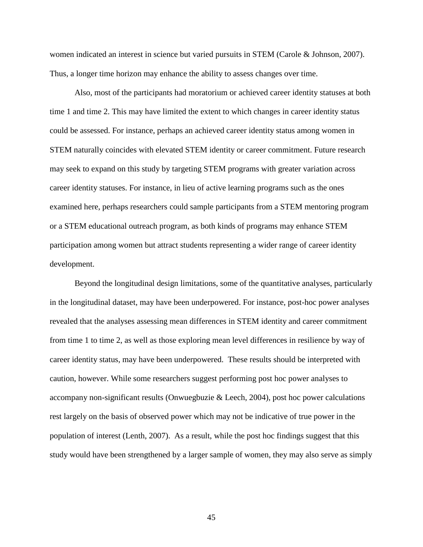women indicated an interest in science but varied pursuits in STEM (Carole & Johnson, 2007). Thus, a longer time horizon may enhance the ability to assess changes over time.

Also, most of the participants had moratorium or achieved career identity statuses at both time 1 and time 2. This may have limited the extent to which changes in career identity status could be assessed. For instance, perhaps an achieved career identity status among women in STEM naturally coincides with elevated STEM identity or career commitment. Future research may seek to expand on this study by targeting STEM programs with greater variation across career identity statuses. For instance, in lieu of active learning programs such as the ones examined here, perhaps researchers could sample participants from a STEM mentoring program or a STEM educational outreach program, as both kinds of programs may enhance STEM participation among women but attract students representing a wider range of career identity development.

Beyond the longitudinal design limitations, some of the quantitative analyses, particularly in the longitudinal dataset, may have been underpowered. For instance, post-hoc power analyses revealed that the analyses assessing mean differences in STEM identity and career commitment from time 1 to time 2, as well as those exploring mean level differences in resilience by way of career identity status, may have been underpowered. These results should be interpreted with caution, however. While some researchers suggest performing post hoc power analyses to accompany non-significant results (Onwuegbuzie  $\&$  Leech, 2004), post hoc power calculations rest largely on the basis of observed power which may not be indicative of true power in the population of interest (Lenth, 2007). As a result, while the post hoc findings suggest that this study would have been strengthened by a larger sample of women, they may also serve as simply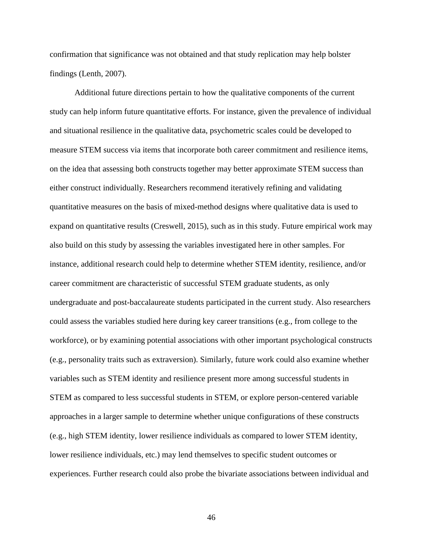confirmation that significance was not obtained and that study replication may help bolster findings (Lenth, 2007).

Additional future directions pertain to how the qualitative components of the current study can help inform future quantitative efforts. For instance, given the prevalence of individual and situational resilience in the qualitative data, psychometric scales could be developed to measure STEM success via items that incorporate both career commitment and resilience items, on the idea that assessing both constructs together may better approximate STEM success than either construct individually. Researchers recommend iteratively refining and validating quantitative measures on the basis of mixed-method designs where qualitative data is used to expand on quantitative results (Creswell, 2015), such as in this study. Future empirical work may also build on this study by assessing the variables investigated here in other samples. For instance, additional research could help to determine whether STEM identity, resilience, and/or career commitment are characteristic of successful STEM graduate students, as only undergraduate and post-baccalaureate students participated in the current study. Also researchers could assess the variables studied here during key career transitions (e.g., from college to the workforce), or by examining potential associations with other important psychological constructs (e.g., personality traits such as extraversion). Similarly, future work could also examine whether variables such as STEM identity and resilience present more among successful students in STEM as compared to less successful students in STEM, or explore person-centered variable approaches in a larger sample to determine whether unique configurations of these constructs (e.g., high STEM identity, lower resilience individuals as compared to lower STEM identity, lower resilience individuals, etc.) may lend themselves to specific student outcomes or experiences. Further research could also probe the bivariate associations between individual and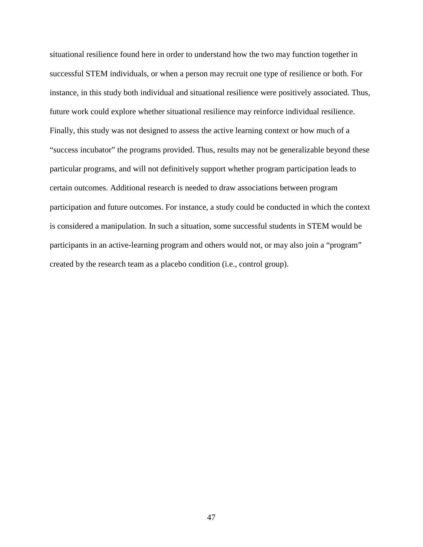situational resilience found here in order to understand how the two may function together in successful STEM individuals, or when a person may recruit one type of resilience or both. For instance, in this study both individual and situational resilience were positively associated. Thus, future work could explore whether situational resilience may reinforce individual resilience. Finally, this study was not designed to assess the active learning context or how much of a "success incubator" the programs provided. Thus, results may not be generalizable beyond these particular programs, and will not definitively support whether program participation leads to certain outcomes. Additional research is needed to draw associations between program participation and future outcomes. For instance, a study could be conducted in which the context is considered a manipulation. In such a situation, some successful students in STEM would be participants in an active-learning program and others would not, or may also join a "program" created by the research team as a placebo condition (i.e., control group).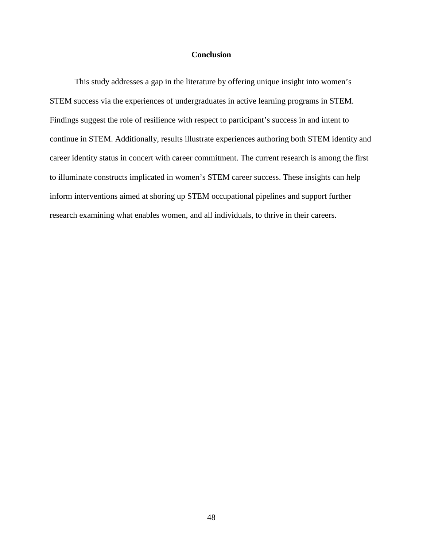#### **Conclusion**

This study addresses a gap in the literature by offering unique insight into women's STEM success via the experiences of undergraduates in active learning programs in STEM. Findings suggest the role of resilience with respect to participant's success in and intent to continue in STEM. Additionally, results illustrate experiences authoring both STEM identity and career identity status in concert with career commitment. The current research is among the first to illuminate constructs implicated in women's STEM career success. These insights can help inform interventions aimed at shoring up STEM occupational pipelines and support further research examining what enables women, and all individuals, to thrive in their careers.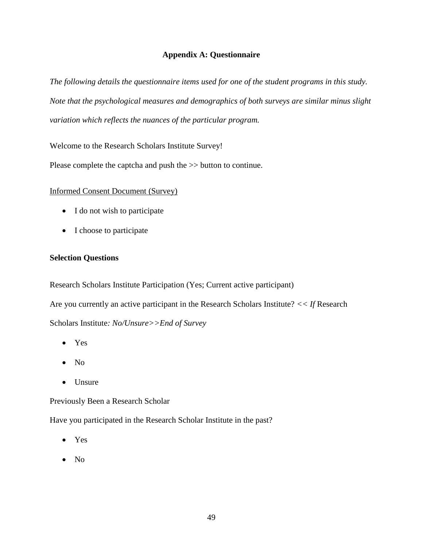#### **Appendix A: Questionnaire**

*The following details the questionnaire items used for one of the student programs in this study. Note that the psychological measures and demographics of both surveys are similar minus slight variation which reflects the nuances of the particular program.* 

Welcome to the Research Scholars Institute Survey!

Please complete the captcha and push the >> button to continue.

#### Informed Consent Document (Survey)

- I do not wish to participate
- I choose to participate

#### **Selection Questions**

Research Scholars Institute Participation (Yes; Current active participant) Are you currently an active participant in the Research Scholars Institute? *<< If* Research Scholars Institute*: No/Unsure>>End of Survey*

- Yes
- No
- Unsure

Previously Been a Research Scholar

Have you participated in the Research Scholar Institute in the past?

- Yes
- No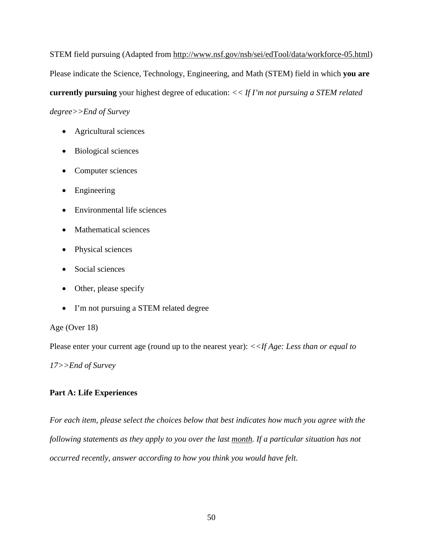STEM field pursuing (Adapted from [http://www.nsf.gov/nsb/sei/edTool/data/workforce-05.html\)](http://www.nsf.gov/nsb/sei/edTool/data/workforce-05.html) Please indicate the Science, Technology, Engineering, and Math (STEM) field in which **you are currently pursuing** your highest degree of education: *<< If I'm not pursuing a STEM related* 

*degree>>End of Survey*

- Agricultural sciences
- Biological sciences
- Computer sciences
- Engineering
- Environmental life sciences
- Mathematical sciences
- Physical sciences
- Social sciences
- Other, please specify
- I'm not pursuing a STEM related degree

Age (Over 18)

Please enter your current age (round up to the nearest year): *<<If Age: Less than or equal to* 

*17>>End of Survey*

## **Part A: Life Experiences**

*For each item, please select the choices below that best indicates how much you agree with the following statements as they apply to you over the last month. If a particular situation has not occurred recently, answer according to how you think you would have felt.*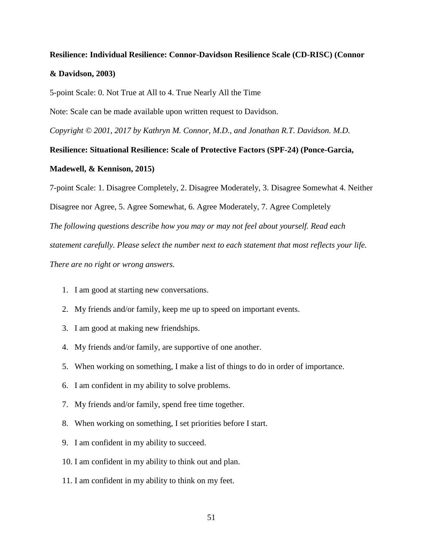# **Resilience: Individual Resilience: Connor-Davidson Resilience Scale (CD-RISC) (Connor & Davidson, 2003)**

5-point Scale: 0. Not True at All to 4. True Nearly All the Time

Note: Scale can be made available upon written request to Davidson.

*Copyright © 2001, 2017 by Kathryn M. Connor, M.D., and Jonathan R.T. Davidson. M.D.*

# **Resilience: Situational Resilience: Scale of Protective Factors (SPF-24) (Ponce-Garcia, Madewell, & Kennison, 2015)**

7-point Scale: 1. Disagree Completely, 2. Disagree Moderately, 3. Disagree Somewhat 4. Neither Disagree nor Agree, 5. Agree Somewhat, 6. Agree Moderately, 7. Agree Completely *The following questions describe how you may or may not feel about yourself. Read each statement carefully. Please select the number next to each statement that most reflects your life. There are no right or wrong answers.*

- 1. I am good at starting new conversations.
- 2. My friends and/or family, keep me up to speed on important events.
- 3. I am good at making new friendships.
- 4. My friends and/or family, are supportive of one another.
- 5. When working on something, I make a list of things to do in order of importance.
- 6. I am confident in my ability to solve problems.
- 7. My friends and/or family, spend free time together.
- 8. When working on something, I set priorities before I start.
- 9. I am confident in my ability to succeed.
- 10. I am confident in my ability to think out and plan.
- 11. I am confident in my ability to think on my feet.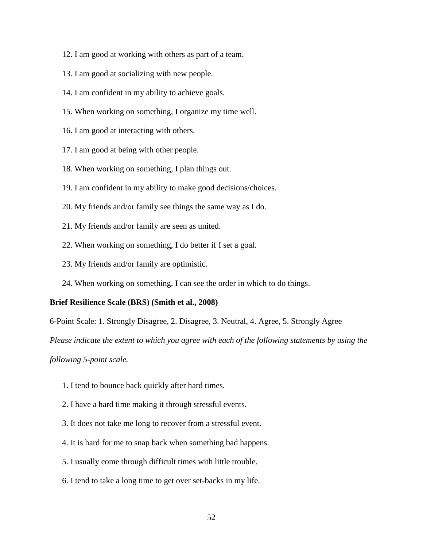- 12. I am good at working with others as part of a team.
- 13. I am good at socializing with new people.
- 14. I am confident in my ability to achieve goals.
- 15. When working on something, I organize my time well.
- 16. I am good at interacting with others.
- 17. I am good at being with other people.
- 18. When working on something, I plan things out.
- 19. I am confident in my ability to make good decisions/choices.
- 20. My friends and/or family see things the same way as I do.
- 21. My friends and/or family are seen as united.
- 22. When working on something, I do better if I set a goal.
- 23. My friends and/or family are optimistic.
- 24. When working on something, I can see the order in which to do things.

#### **Brief Resilience Scale (BRS) (Smith et al., 2008)**

6-Point Scale: 1. Strongly Disagree, 2. Disagree, 3. Neutral, 4. Agree, 5. Strongly Agree

*Please indicate the extent to which you agree with each of the following statements by using the* 

*following 5-point scale.*

- 1. I tend to bounce back quickly after hard times.
- 2. I have a hard time making it through stressful events.
- 3. It does not take me long to recover from a stressful event.
- 4. It is hard for me to snap back when something bad happens.
- 5. I usually come through difficult times with little trouble.
- 6. I tend to take a long time to get over set-backs in my life.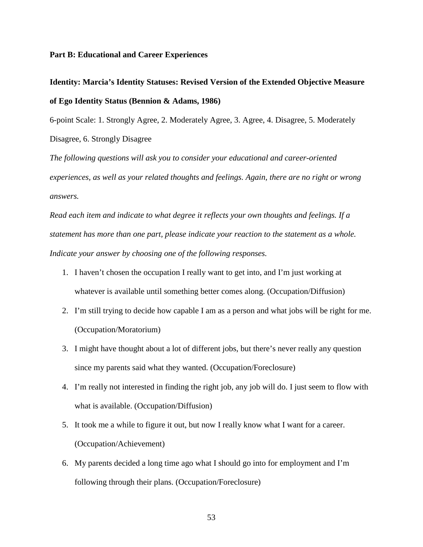#### **Part B: Educational and Career Experiences**

## **Identity: Marcia's Identity Statuses: Revised Version of the Extended Objective Measure of Ego Identity Status (Bennion & Adams, 1986)**

6-point Scale: 1. Strongly Agree, 2. Moderately Agree, 3. Agree, 4. Disagree, 5. Moderately Disagree, 6. Strongly Disagree

*The following questions will ask you to consider your educational and career-oriented experiences, as well as your related thoughts and feelings. Again, there are no right or wrong answers.*

*Read each item and indicate to what degree it reflects your own thoughts and feelings. If a statement has more than one part, please indicate your reaction to the statement as a whole. Indicate your answer by choosing one of the following responses.* 

- 1. I haven't chosen the occupation I really want to get into, and I'm just working at whatever is available until something better comes along. (Occupation/Diffusion)
- 2. I'm still trying to decide how capable I am as a person and what jobs will be right for me. (Occupation/Moratorium)
- 3. I might have thought about a lot of different jobs, but there's never really any question since my parents said what they wanted. (Occupation/Foreclosure)
- 4. I'm really not interested in finding the right job, any job will do. I just seem to flow with what is available. (Occupation/Diffusion)
- 5. It took me a while to figure it out, but now I really know what I want for a career. (Occupation/Achievement)
- 6. My parents decided a long time ago what I should go into for employment and I'm following through their plans. (Occupation/Foreclosure)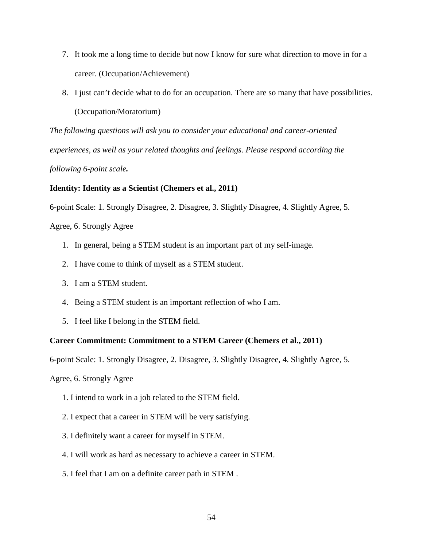- 7. It took me a long time to decide but now I know for sure what direction to move in for a career. (Occupation/Achievement)
- 8. I just can't decide what to do for an occupation. There are so many that have possibilities. (Occupation/Moratorium)

*The following questions will ask you to consider your educational and career-oriented experiences, as well as your related thoughts and feelings. Please respond according the following 6-point scale.*

## **Identity: Identity as a Scientist (Chemers et al., 2011)**

6-point Scale: 1. Strongly Disagree, 2. Disagree, 3. Slightly Disagree, 4. Slightly Agree, 5.

Agree, 6. Strongly Agree

- 1. In general, being a STEM student is an important part of my self-image.
- 2. I have come to think of myself as a STEM student.
- 3. I am a STEM student.
- 4. Being a STEM student is an important reflection of who I am.
- 5. I feel like I belong in the STEM field.

#### **Career Commitment: Commitment to a STEM Career (Chemers et al., 2011)**

6-point Scale: 1. Strongly Disagree, 2. Disagree, 3. Slightly Disagree, 4. Slightly Agree, 5.

Agree, 6. Strongly Agree

- 1. I intend to work in a job related to the STEM field.
- 2. I expect that a career in STEM will be very satisfying.
- 3. I definitely want a career for myself in STEM.
- 4. I will work as hard as necessary to achieve a career in STEM.
- 5. I feel that I am on a definite career path in STEM .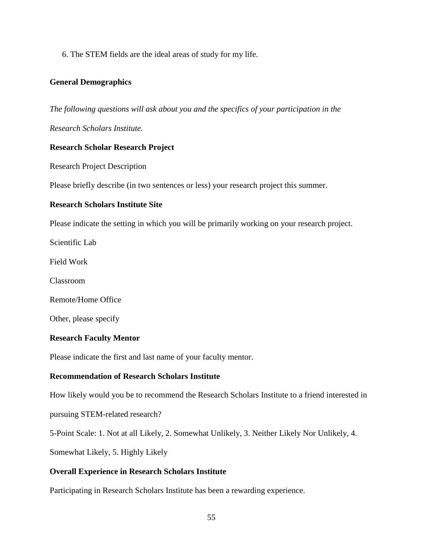6. The STEM fields are the ideal areas of study for my life.

#### **General Demographics**

*The following questions will ask about you and the specifics of your participation in the* 

*Research Scholars Institute.*

#### **Research Scholar Research Project**

Research Project Description

Please briefly describe (in two sentences or less) your research project this summer.

#### **Research Scholars Institute Site**

Please indicate the setting in which you will be primarily working on your research project.

Scientific Lab

Field Work

Classroom

Remote/Home Office

Other, please specify

#### **Research Faculty Mentor**

Please indicate the first and last name of your faculty mentor.

#### **Recommendation of Research Scholars Institute**

How likely would you be to recommend the Research Scholars Institute to a friend interested in

pursuing STEM-related research?

5-Point Scale: 1. Not at all Likely, 2. Somewhat Unlikely, 3. Neither Likely Nor Unlikely, 4.

Somewhat Likely, 5. Highly Likely

#### **Overall Experience in Research Scholars Institute**

Participating in Research Scholars Institute has been a rewarding experience.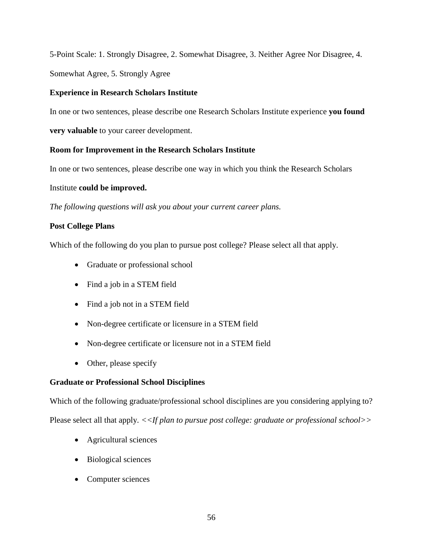5-Point Scale: 1. Strongly Disagree, 2. Somewhat Disagree, 3. Neither Agree Nor Disagree, 4.

Somewhat Agree, 5. Strongly Agree

## **Experience in Research Scholars Institute**

In one or two sentences, please describe one Research Scholars Institute experience **you found** 

**very valuable** to your career development.

## **Room for Improvement in the Research Scholars Institute**

In one or two sentences, please describe one way in which you think the Research Scholars

## Institute **could be improved.**

*The following questions will ask you about your current career plans.*

## **Post College Plans**

Which of the following do you plan to pursue post college? Please select all that apply.

- Graduate or professional school
- Find a job in a STEM field
- Find a job not in a STEM field
- Non-degree certificate or licensure in a STEM field
- Non-degree certificate or licensure not in a STEM field
- Other, please specify

## **Graduate or Professional School Disciplines**

Which of the following graduate/professional school disciplines are you considering applying to? Please select all that apply. *<<If plan to pursue post college: graduate or professional school>>*

- Agricultural sciences
- Biological sciences
- Computer sciences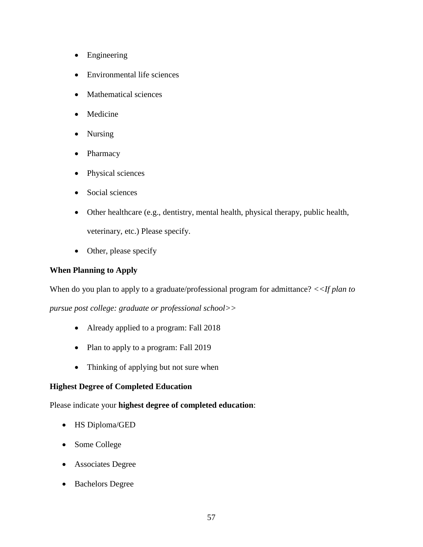- Engineering
- Environmental life sciences
- Mathematical sciences
- Medicine
- Nursing
- Pharmacy
- Physical sciences
- Social sciences
- Other healthcare (e.g., dentistry, mental health, physical therapy, public health, veterinary, etc.) Please specify.
- Other, please specify

## **When Planning to Apply**

When do you plan to apply to a graduate/professional program for admittance? *<<If plan to* 

*pursue post college: graduate or professional school>>*

- Already applied to a program: Fall 2018
- Plan to apply to a program: Fall 2019
- Thinking of applying but not sure when

## **Highest Degree of Completed Education**

Please indicate your **highest degree of completed education**:

- HS Diploma/GED
- Some College
- Associates Degree
- Bachelors Degree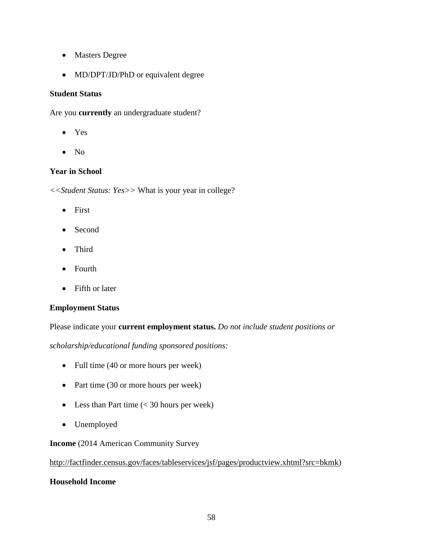- Masters Degree
- MD/DPT/JD/PhD or equivalent degree

## **Student Status**

Are you **currently** an undergraduate student?

- Yes
- No

## **Year in School**

*<<Student Status: Yes>>* What is your year in college?

- First
- Second
- Third
- Fourth
- Fifth or later

## **Employment Status**

Please indicate your **current employment status.** *Do not include student positions or* 

*scholarship/educational funding sponsored positions:*

- Full time (40 or more hours per week)
- Part time (30 or more hours per week)
- Less than Part time (< 30 hours per week)
- Unemployed

## **Income** (2014 American Community Survey

## [http://factfinder.census.gov/faces/tableservices/jsf/pages/productview.xhtml?src=bkmk\)](http://factfinder.census.gov/faces/tableservices/jsf/pages/productview.xhtml?src=bkmk)

## **Household Income**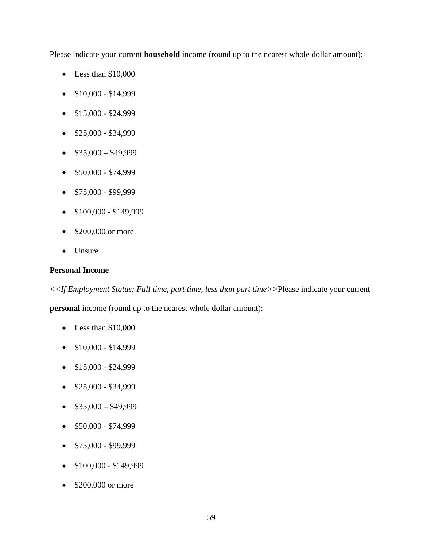Please indicate your current **household** income (round up to the nearest whole dollar amount):

- Less than \$10,000
- $$10,000 $14,999$
- $\bullet$  \$15,000 \$24,999
- $\bullet$  \$25,000 \$34,999
- $$35,000 $49,999$
- $$50,000 $74,999$
- $\bullet$  \$75,000 \$99,999
- $\bullet$  \$100,000 \$149,999
- \$200,000 or more
- Unsure

#### **Personal Income**

*<<If Employment Status: Full time, part time, less than part time>>*Please indicate your current

**personal** income (round up to the nearest whole dollar amount):

- Less than \$10,000
- $$10,000 $14,999$
- $\bullet$  \$15,000 \$24,999
- $\bullet$  \$25,000 \$34,999
- $$35,000 $49,999$
- $\bullet$  \$50,000 \$74,999
- $$75,000 $99,999$
- $\bullet$  \$100,000 \$149,999
- \$200,000 or more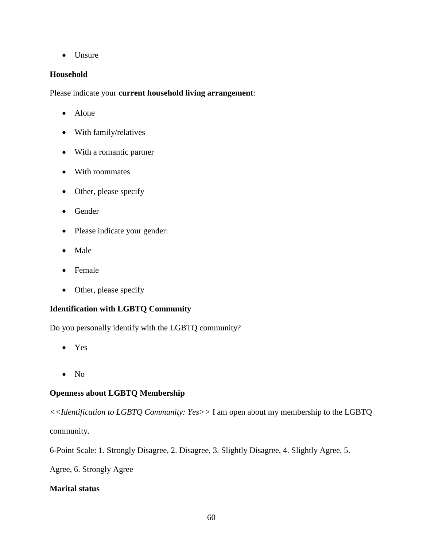• Unsure

## **Household**

Please indicate your **current household living arrangement**:

- Alone
- With family/relatives
- With a romantic partner
- With roommates
- Other, please specify
- Gender
- Please indicate your gender:
- Male
- Female
- Other, please specify

## **Identification with LGBTQ Community**

Do you personally identify with the LGBTQ community?

- Yes
- No

## **Openness about LGBTQ Membership**

*<<Identification to LGBTQ Community: Yes>>* I am open about my membership to the LGBTQ community.

6-Point Scale: 1. Strongly Disagree, 2. Disagree, 3. Slightly Disagree, 4. Slightly Agree, 5.

Agree, 6. Strongly Agree

## **Marital status**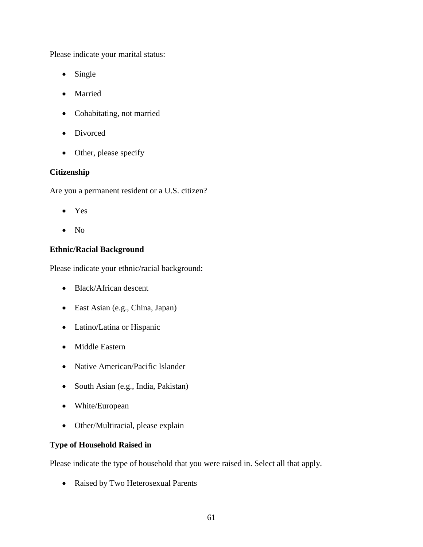Please indicate your marital status:

- Single
- Married
- Cohabitating, not married
- Divorced
- Other, please specify

#### **Citizenship**

Are you a permanent resident or a U.S. citizen?

- Yes
- No

## **Ethnic/Racial Background**

Please indicate your ethnic/racial background:

- Black/African descent
- East Asian (e.g., China, Japan)
- Latino/Latina or Hispanic
- Middle Eastern
- Native American/Pacific Islander
- South Asian (e.g., India, Pakistan)
- White/European
- Other/Multiracial, please explain

## **Type of Household Raised in**

Please indicate the type of household that you were raised in. Select all that apply.

• Raised by Two Heterosexual Parents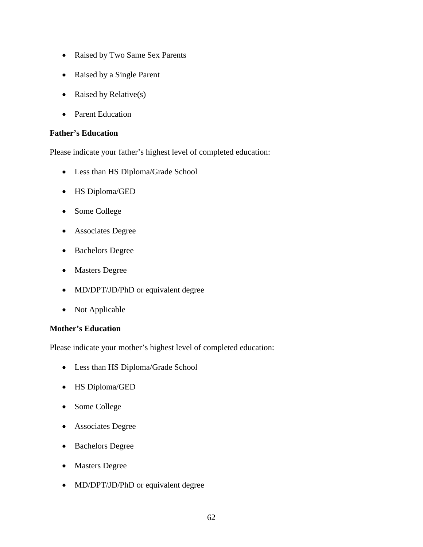- Raised by Two Same Sex Parents
- Raised by a Single Parent
- Raised by Relative(s)
- Parent Education

#### **Father's Education**

Please indicate your father's highest level of completed education:

- Less than HS Diploma/Grade School
- HS Diploma/GED
- Some College
- Associates Degree
- Bachelors Degree
- Masters Degree
- MD/DPT/JD/PhD or equivalent degree
- Not Applicable

## **Mother's Education**

Please indicate your mother's highest level of completed education:

- Less than HS Diploma/Grade School
- HS Diploma/GED
- Some College
- Associates Degree
- Bachelors Degree
- Masters Degree
- MD/DPT/JD/PhD or equivalent degree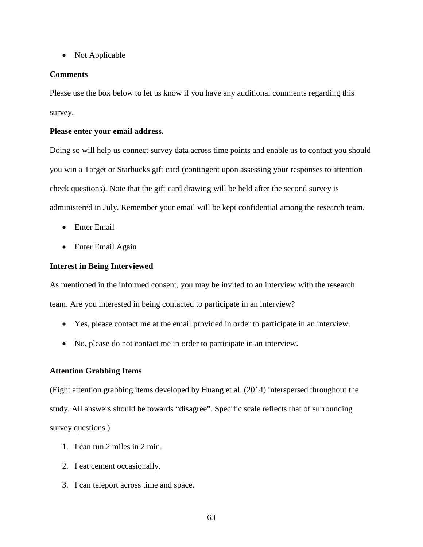• Not Applicable

#### **Comments**

Please use the box below to let us know if you have any additional comments regarding this survey.

#### **Please enter your email address.**

Doing so will help us connect survey data across time points and enable us to contact you should you win a Target or Starbucks gift card (contingent upon assessing your responses to attention check questions). Note that the gift card drawing will be held after the second survey is administered in July. Remember your email will be kept confidential among the research team.

- Enter Email
- Enter Email Again

#### **Interest in Being Interviewed**

As mentioned in the informed consent, you may be invited to an interview with the research team. Are you interested in being contacted to participate in an interview?

- Yes, please contact me at the email provided in order to participate in an interview.
- No, please do not contact me in order to participate in an interview.

## **Attention Grabbing Items**

(Eight attention grabbing items developed by Huang et al. (2014) interspersed throughout the study. All answers should be towards "disagree". Specific scale reflects that of surrounding survey questions.)

- 1. I can run 2 miles in 2 min.
- 2. I eat cement occasionally.
- 3. I can teleport across time and space.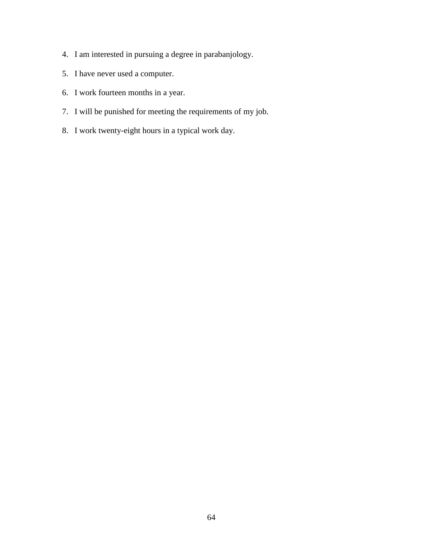- 4. I am interested in pursuing a degree in parabanjology.
- 5. I have never used a computer.
- 6. I work fourteen months in a year.
- 7. I will be punished for meeting the requirements of my job.
- 8. I work twenty-eight hours in a typical work day.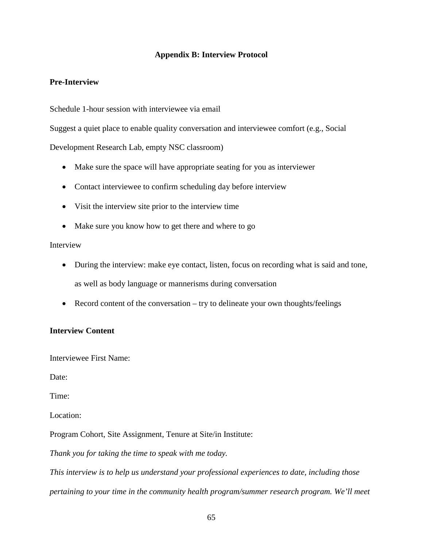### **Appendix B: Interview Protocol**

### **Pre-Interview**

Schedule 1-hour session with interviewee via email

Suggest a quiet place to enable quality conversation and interviewee comfort (e.g., Social

Development Research Lab, empty NSC classroom)

- Make sure the space will have appropriate seating for you as interviewer
- Contact interviewee to confirm scheduling day before interview
- Visit the interview site prior to the interview time
- Make sure you know how to get there and where to go

### Interview

- During the interview: make eye contact, listen, focus on recording what is said and tone, as well as body language or mannerisms during conversation
- Record content of the conversation try to delineate your own thoughts/feelings

### **Interview Content**

Interviewee First Name:

Date:

Time:

Location:

Program Cohort, Site Assignment, Tenure at Site/in Institute:

*Thank you for taking the time to speak with me today.* 

*This interview is to help us understand your professional experiences to date, including those pertaining to your time in the community health program/summer research program. We'll meet*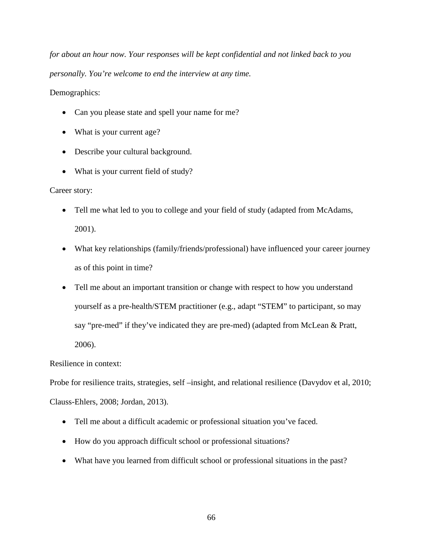*for about an hour now. Your responses will be kept confidential and not linked back to you personally. You're welcome to end the interview at any time.*

Demographics:

- Can you please state and spell your name for me?
- What is your current age?
- Describe your cultural background.
- What is your current field of study?

Career story:

- Tell me what led to you to college and your field of study (adapted from McAdams, 2001).
- What key relationships (family/friends/professional) have influenced your career journey as of this point in time?
- Tell me about an important transition or change with respect to how you understand yourself as a pre-health/STEM practitioner (e.g., adapt "STEM" to participant, so may say "pre-med" if they've indicated they are pre-med) (adapted from McLean & Pratt, 2006).

Resilience in context:

Probe for resilience traits, strategies, self –insight, and relational resilience (Davydov et al, 2010; Clauss-Ehlers, 2008; Jordan, 2013).

- Tell me about a difficult academic or professional situation you've faced.
- How do you approach difficult school or professional situations?
- What have you learned from difficult school or professional situations in the past?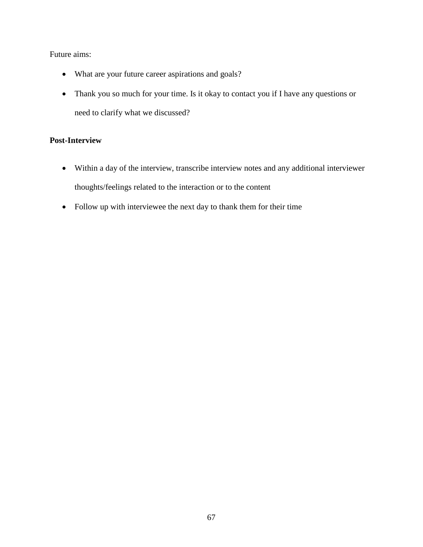### Future aims:

- What are your future career aspirations and goals?
- Thank you so much for your time. Is it okay to contact you if I have any questions or need to clarify what we discussed?

### **Post-Interview**

- Within a day of the interview, transcribe interview notes and any additional interviewer thoughts/feelings related to the interaction or to the content
- Follow up with interviewee the next day to thank them for their time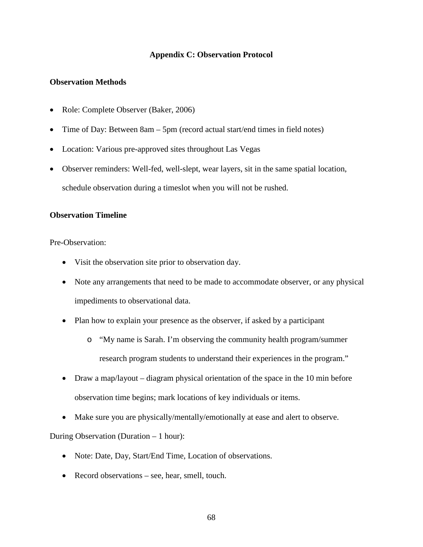### **Appendix C: Observation Protocol**

### **Observation Methods**

- Role: Complete Observer (Baker, 2006)
- Time of Day: Between 8am 5pm (record actual start/end times in field notes)
- Location: Various pre-approved sites throughout Las Vegas
- Observer reminders: Well-fed, well-slept, wear layers, sit in the same spatial location, schedule observation during a timeslot when you will not be rushed.

### **Observation Timeline**

Pre-Observation:

- Visit the observation site prior to observation day.
- Note any arrangements that need to be made to accommodate observer, or any physical impediments to observational data.
- Plan how to explain your presence as the observer, if asked by a participant
	- o "My name is Sarah. I'm observing the community health program/summer research program students to understand their experiences in the program."
- Draw a map/layout diagram physical orientation of the space in the 10 min before observation time begins; mark locations of key individuals or items.
- Make sure you are physically/mentally/emotionally at ease and alert to observe.

During Observation (Duration – 1 hour):

- Note: Date, Day, Start/End Time, Location of observations.
- Record observations see, hear, smell, touch.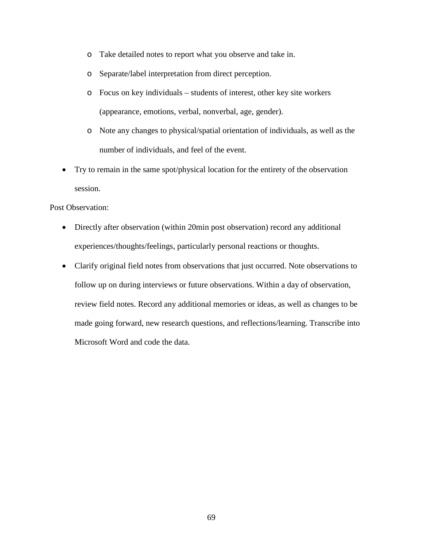- o Take detailed notes to report what you observe and take in.
- o Separate/label interpretation from direct perception.
- o Focus on key individuals students of interest, other key site workers (appearance, emotions, verbal, nonverbal, age, gender).
- o Note any changes to physical/spatial orientation of individuals, as well as the number of individuals, and feel of the event.
- Try to remain in the same spot/physical location for the entirety of the observation session.

Post Observation:

- Directly after observation (within 20min post observation) record any additional experiences/thoughts/feelings, particularly personal reactions or thoughts.
- Clarify original field notes from observations that just occurred. Note observations to follow up on during interviews or future observations. Within a day of observation, review field notes. Record any additional memories or ideas, as well as changes to be made going forward, new research questions, and reflections/learning. Transcribe into Microsoft Word and code the data.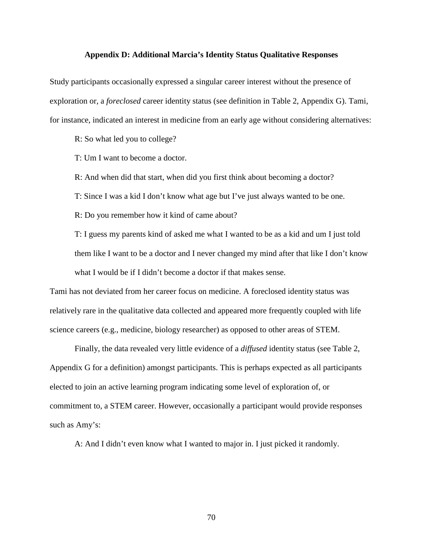#### **Appendix D: Additional Marcia's Identity Status Qualitative Responses**

Study participants occasionally expressed a singular career interest without the presence of exploration or, a *foreclosed* career identity status (see definition in Table 2, Appendix G). Tami, for instance, indicated an interest in medicine from an early age without considering alternatives:

R: So what led you to college?

T: Um I want to become a doctor.

R: And when did that start, when did you first think about becoming a doctor?

T: Since I was a kid I don't know what age but I've just always wanted to be one.

R: Do you remember how it kind of came about?

T: I guess my parents kind of asked me what I wanted to be as a kid and um I just told them like I want to be a doctor and I never changed my mind after that like I don't know what I would be if I didn't become a doctor if that makes sense.

Tami has not deviated from her career focus on medicine. A foreclosed identity status was relatively rare in the qualitative data collected and appeared more frequently coupled with life science careers (e.g., medicine, biology researcher) as opposed to other areas of STEM.

Finally, the data revealed very little evidence of a *diffused* identity status (see Table 2, Appendix G for a definition) amongst participants. This is perhaps expected as all participants elected to join an active learning program indicating some level of exploration of, or commitment to, a STEM career. However, occasionally a participant would provide responses such as Amy's:

A: And I didn't even know what I wanted to major in. I just picked it randomly.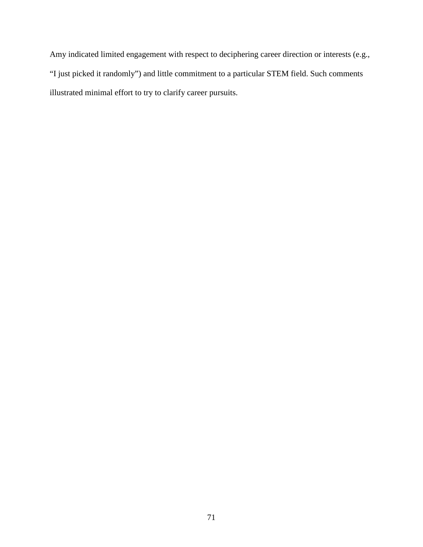Amy indicated limited engagement with respect to deciphering career direction or interests (e.g., "I just picked it randomly") and little commitment to a particular STEM field. Such comments illustrated minimal effort to try to clarify career pursuits.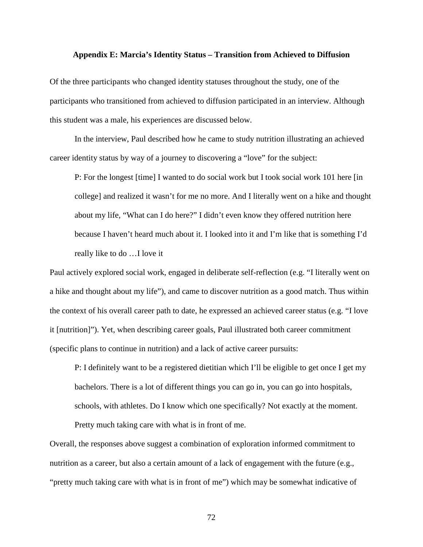#### **Appendix E: Marcia's Identity Status – Transition from Achieved to Diffusion**

Of the three participants who changed identity statuses throughout the study, one of the participants who transitioned from achieved to diffusion participated in an interview. Although this student was a male, his experiences are discussed below.

In the interview, Paul described how he came to study nutrition illustrating an achieved career identity status by way of a journey to discovering a "love" for the subject:

P: For the longest [time] I wanted to do social work but I took social work 101 here [in college] and realized it wasn't for me no more. And I literally went on a hike and thought about my life, "What can I do here?" I didn't even know they offered nutrition here because I haven't heard much about it. I looked into it and I'm like that is something I'd really like to do …I love it

Paul actively explored social work, engaged in deliberate self-reflection (e.g. "I literally went on a hike and thought about my life"), and came to discover nutrition as a good match. Thus within the context of his overall career path to date, he expressed an achieved career status (e.g. "I love it [nutrition]"). Yet, when describing career goals, Paul illustrated both career commitment (specific plans to continue in nutrition) and a lack of active career pursuits:

P: I definitely want to be a registered dietitian which I'll be eligible to get once I get my bachelors. There is a lot of different things you can go in, you can go into hospitals, schools, with athletes. Do I know which one specifically? Not exactly at the moment. Pretty much taking care with what is in front of me.

Overall, the responses above suggest a combination of exploration informed commitment to nutrition as a career, but also a certain amount of a lack of engagement with the future (e.g., "pretty much taking care with what is in front of me") which may be somewhat indicative of

72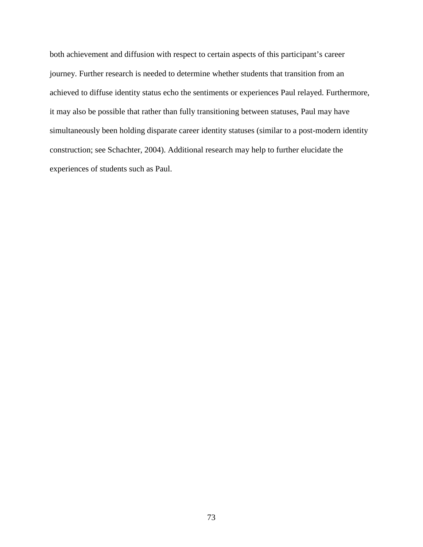both achievement and diffusion with respect to certain aspects of this participant's career journey. Further research is needed to determine whether students that transition from an achieved to diffuse identity status echo the sentiments or experiences Paul relayed. Furthermore, it may also be possible that rather than fully transitioning between statuses, Paul may have simultaneously been holding disparate career identity statuses (similar to a post-modern identity construction; see Schachter, 2004). Additional research may help to further elucidate the experiences of students such as Paul.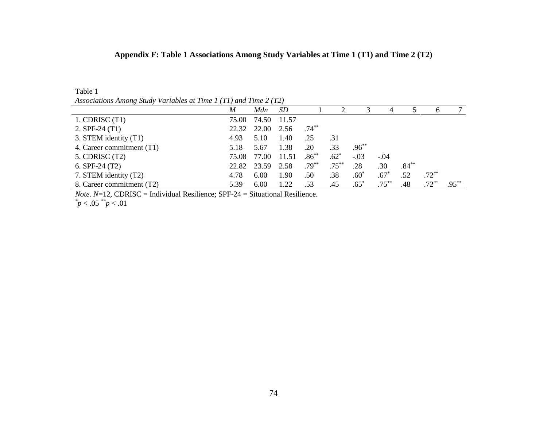### **Appendix F: Table 1 Associations Among Study Variables at Time 1 (T1) and Time 2 (T2)**

| Associations Among study variables at Time 1 (11) and Time 2 (12) |       |       |           |          |          |            |          |          |              |          |
|-------------------------------------------------------------------|-------|-------|-----------|----------|----------|------------|----------|----------|--------------|----------|
|                                                                   | M     | Mdn   | <i>SD</i> |          |          | 3          | 4        |          | <sub>0</sub> |          |
| $1.$ CDRISC $(T1)$                                                | 75.00 | 74.50 | 11.57     |          |          |            |          |          |              |          |
| 2. $SPF-24(T1)$                                                   | 22.32 | 22.00 | 2.56      | $.74***$ |          |            |          |          |              |          |
| 3. STEM identity (T1)                                             | 4.93  | 5.10  | 1.40      | .25      | .31      |            |          |          |              |          |
| 4. Career commitment (T1)                                         | 5.18  | 5.67  | 1.38      | .20      | .33      | $.96^{**}$ |          |          |              |          |
| $5.$ CDRISC $(T2)$                                                | 75.08 | 77.00 | 11.51     | $.86***$ | $.62^*$  | $-.03$     | $-.04$   |          |              |          |
| 6. SPF-24 $(T2)$                                                  | 22.82 | 23.59 | 2.58      | $.79***$ | $.75***$ | .28        | .30      | $.84***$ |              |          |
| 7. STEM identity (T2)                                             | 4.78  | 6.00  | 1.90      | .50      | .38      | $.60*$     | $.67*$   | .52      | $.72***$     |          |
| 8. Career commitment (T2)                                         | 5.39  | 6.00  | 1.22      | .53      | .45      | $.65*$     | $.75***$ | .48      | $.72***$     | $.95***$ |

*Associations Among Study Variables at Time 1 (T1) and Time 2 (T2)*

*Note.*  $N=12$ , CDRISC = Individual Resilience; SPF-24 = Situational Resilience.

*\* p* < .05 *\*\*p* < .01

Table 1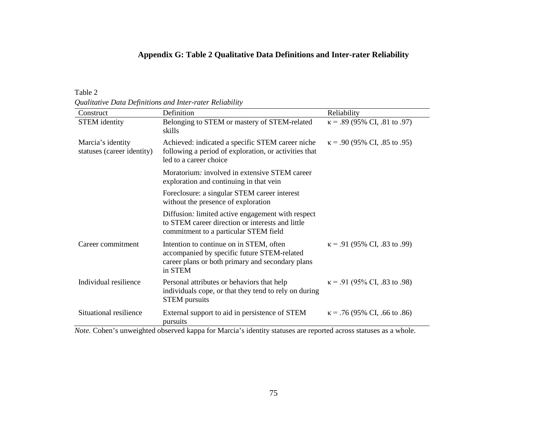### **Appendix G: Table 2 Qualitative Data Definitions and Inter-rater Reliability**

Table 2

*Qualitative Data Definitions and Inter-rater Reliability*

| Construct                                       | Definition                                                                                                                                                                                                     | Reliability                                                     |
|-------------------------------------------------|----------------------------------------------------------------------------------------------------------------------------------------------------------------------------------------------------------------|-----------------------------------------------------------------|
| <b>STEM</b> identity                            | Belonging to STEM or mastery of STEM-related<br>skills                                                                                                                                                         | $\kappa$ = .89 (95% CI, .81 to .97)                             |
| Marcia's identity<br>statuses (career identity) | Achieved: indicated a specific STEM career niche<br>following a period of exploration, or activities that<br>led to a career choice                                                                            | $\kappa$ = .90 (95% CI, .85 to .95)                             |
|                                                 | Moratorium: involved in extensive STEM career<br>exploration and continuing in that vein                                                                                                                       |                                                                 |
|                                                 | Foreclosure: a singular STEM career interest<br>without the presence of exploration                                                                                                                            |                                                                 |
|                                                 | Diffusion: limited active engagement with respect<br>to STEM career direction or interests and little<br>commitment to a particular STEM field                                                                 |                                                                 |
| Career commitment                               | Intention to continue on in STEM, often<br>accompanied by specific future STEM-related<br>career plans or both primary and secondary plans<br>in STEM                                                          | $\kappa$ = .91 (95% CI, .83 to .99)                             |
| Individual resilience                           | Personal attributes or behaviors that help<br>individuals cope, or that they tend to rely on during<br><b>STEM</b> pursuits                                                                                    | $\kappa$ = .91 (95% CI, .83 to .98)                             |
| Situational resilience<br>$\sim$ 1 $\sim$       | External support to aid in persistence of STEM<br>pursuits<br>$\mathcal{C}$ as $\mathcal{A}$ and $\mathcal{A}$ and $\mathcal{A}$ and $\mathcal{A}$ are $\mathcal{A}$ and $\mathcal{A}$ and $\mathcal{A}$<br>11 | $\kappa$ = .76 (95% CI, .66 to .86)<br>$\cdot$ 1<br>$1 \quad 1$ |

*Note.* Cohen's unweighted observed kappa for Marcia's identity statuses are reported across statuses as a whole.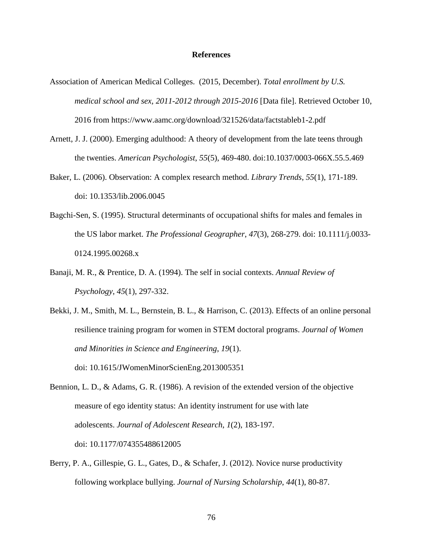#### **References**

- Association of American Medical Colleges. (2015, December). *Total enrollment by U.S. medical school and sex, 2011-2012 through 2015-2016* [Data file]. Retrieved October 10, 2016 from https://www.aamc.org/download/321526/data/factstableb1-2.pdf
- Arnett, J. J. (2000). Emerging adulthood: A theory of development from the late teens through the twenties. *American Psychologist*, *55*(5), 469-480. doi:10.1037/0003-066X.55.5.469
- Baker, L. (2006). Observation: A complex research method. *Library Trends*, *55*(1), 171-189. doi: 10.1353/lib.2006.0045
- Bagchi-Sen, S. (1995). Structural determinants of occupational shifts for males and females in the US labor market. *The Professional Geographer*, *47*(3), 268-279. doi: 10.1111/j.0033- 0124.1995.00268.x
- Banaji, M. R., & Prentice, D. A. (1994). The self in social contexts. *Annual Review of Psychology*, *45*(1), 297-332.
- Bekki, J. M., Smith, M. L., Bernstein, B. L., & Harrison, C. (2013). Effects of an online personal resilience training program for women in STEM doctoral programs. *Journal of Women and Minorities in Science and Engineering*, *19*(1). doi: 10.1615/JWomenMinorScienEng.2013005351
- Bennion, L. D., & Adams, G. R. (1986). A revision of the extended version of the objective measure of ego identity status: An identity instrument for use with late adolescents. *Journal of Adolescent Research*, *1*(2), 183-197. doi: 10.1177/074355488612005
- Berry, P. A., Gillespie, G. L., Gates, D., & Schafer, J. (2012). Novice nurse productivity following workplace bullying. *Journal of Nursing Scholarship*, *44*(1), 80-87.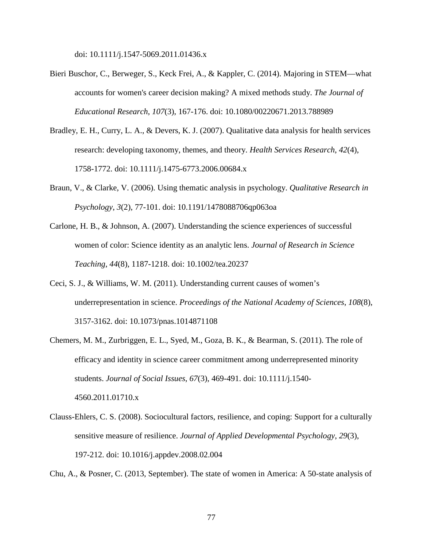doi: 10.1111/j.1547-5069.2011.01436.x

- Bieri Buschor, C., Berweger, S., Keck Frei, A., & Kappler, C. (2014). Majoring in STEM—what accounts for women's career decision making? A mixed methods study. *The Journal of Educational Research*, *107*(3), 167-176. doi: 10.1080/00220671.2013.788989
- Bradley, E. H., Curry, L. A., & Devers, K. J. (2007). Qualitative data analysis for health services research: developing taxonomy, themes, and theory. *Health Services Research*, *42*(4), 1758-1772. doi: 10.1111/j.1475-6773.2006.00684.x
- Braun, V., & Clarke, V. (2006). Using thematic analysis in psychology. *Qualitative Research in Psychology*, *3*(2), 77-101. doi: 10.1191/1478088706qp063oa
- Carlone, H. B., & Johnson, A. (2007). Understanding the science experiences of successful women of color: Science identity as an analytic lens. *Journal of Research in Science Teaching*, *44*(8), 1187-1218. doi: 10.1002/tea.20237
- Ceci, S. J., & Williams, W. M. (2011). Understanding current causes of women's underrepresentation in science. *Proceedings of the National Academy of Sciences*, *108*(8), 3157-3162. doi: 10.1073/pnas.1014871108
- Chemers, M. M., Zurbriggen, E. L., Syed, M., Goza, B. K., & Bearman, S. (2011). The role of efficacy and identity in science career commitment among underrepresented minority students. *Journal of Social Issues*, *67*(3), 469-491. doi: 10.1111/j.1540- 4560.2011.01710.x
- Clauss-Ehlers, C. S. (2008). Sociocultural factors, resilience, and coping: Support for a culturally sensitive measure of resilience. *Journal of Applied Developmental Psychology*, *29*(3), 197-212. doi: 10.1016/j.appdev.2008.02.004

Chu, A., & Posner, C. (2013, September). The state of women in America: A 50-state analysis of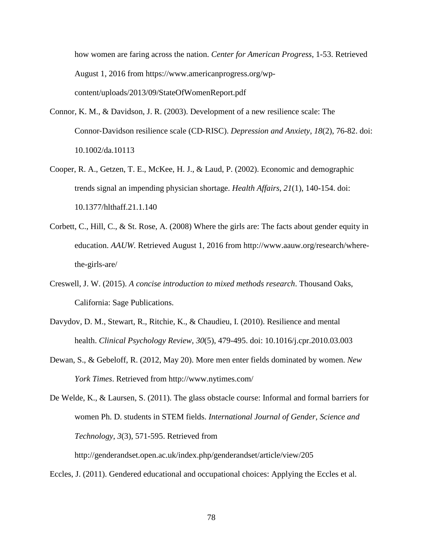how women are faring across the nation. *Center for American Progress*, 1-53. Retrieved August 1, 2016 from https://www.americanprogress.org/wpcontent/uploads/2013/09/StateOfWomenReport.pdf

- Connor, K. M., & Davidson, J. R. (2003). Development of a new resilience scale: The Connor‐Davidson resilience scale (CD‐RISC). *Depression and Anxiety*, *18*(2), 76-82. doi: 10.1002/da.10113
- Cooper, R. A., Getzen, T. E., McKee, H. J., & Laud, P. (2002). Economic and demographic trends signal an impending physician shortage. *Health Affairs*, *21*(1), 140-154. doi: 10.1377/hlthaff.21.1.140
- Corbett, C., Hill, C., & St. Rose, A. (2008) Where the girls are: The facts about gender equity in education. *AAUW.* Retrieved August 1, 2016 from http://www.aauw.org/research/wherethe-girls-are/
- Creswell, J. W. (2015). *A concise introduction to mixed methods research*. Thousand Oaks, California: Sage Publications.
- Davydov, D. M., Stewart, R., Ritchie, K., & Chaudieu, I. (2010). Resilience and mental health. *Clinical Psychology Review*, *30*(5), 479-495. doi: 10.1016/j.cpr.2010.03.003
- Dewan, S., & Gebeloff, R. (2012, May 20). More men enter fields dominated by women. *New York Times*. Retrieved from http://www.nytimes.com/

De Welde, K., & Laursen, S. (2011). The glass obstacle course: Informal and formal barriers for women Ph. D. students in STEM fields. *International Journal of Gender, Science and Technology*, *3*(3), 571-595. Retrieved from

http://genderandset.open.ac.uk/index.php/genderandset/article/view/205

Eccles, J. (2011). Gendered educational and occupational choices: Applying the Eccles et al.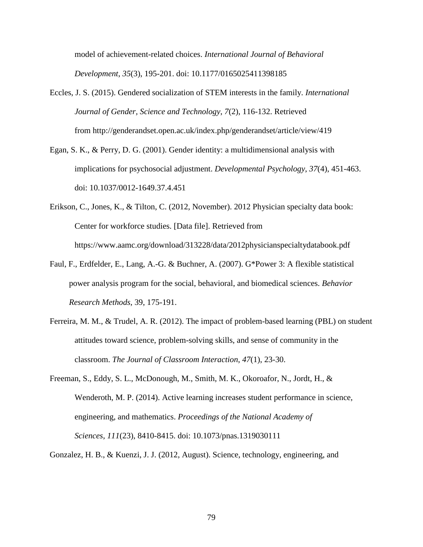model of achievement-related choices. *International Journal of Behavioral Development*, *35*(3), 195-201. doi: 10.1177/0165025411398185

- Eccles, J. S. (2015). Gendered socialization of STEM interests in the family. *International Journal of Gender, Science and Technology*, *7*(2), 116-132. Retrieved from http://genderandset.open.ac.uk/index.php/genderandset/article/view/419
- Egan, S. K., & Perry, D. G. (2001). Gender identity: a multidimensional analysis with implications for psychosocial adjustment. *Developmental Psychology*, *37*(4), 451-463. doi: 10.1037/0012-1649.37.4.451
- Erikson, C., Jones, K., & Tilton, C. (2012, November). 2012 Physician specialty data book: Center for workforce studies. [Data file]. Retrieved from https://www.aamc.org/download/313228/data/2012physicianspecialtydatabook.pdf
- Faul, F., Erdfelder, E., Lang, A.-G. & Buchner, A. (2007). G\*Power 3: A flexible statistical power analysis program for the social, behavioral, and biomedical sciences. *Behavior Research Methods*, 39, 175-191.
- Ferreira, M. M., & Trudel, A. R. (2012). The impact of problem-based learning (PBL) on student attitudes toward science, problem-solving skills, and sense of community in the classroom. *The Journal of Classroom Interaction*, *47*(1), 23-30.
- Freeman, S., Eddy, S. L., McDonough, M., Smith, M. K., Okoroafor, N., Jordt, H., & Wenderoth, M. P. (2014). Active learning increases student performance in science, engineering, and mathematics. *Proceedings of the National Academy of Sciences*, *111*(23), 8410-8415. doi: 10.1073/pnas.1319030111
- Gonzalez, H. B., & Kuenzi, J. J. (2012, August). Science, technology, engineering, and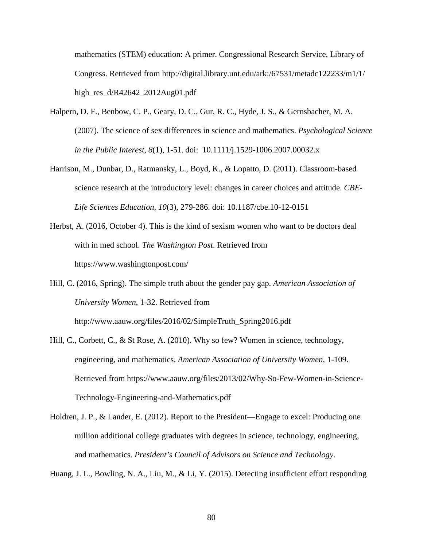mathematics (STEM) education: A primer. Congressional Research Service, Library of Congress. Retrieved from http://digital.library.unt.edu/ark:/67531/metadc122233/m1/1/ high res  $d/R42642$  2012Aug01.pdf

- Halpern, D. F., Benbow, C. P., Geary, D. C., Gur, R. C., Hyde, J. S., & Gernsbacher, M. A. (2007). The science of sex differences in science and mathematics. *Psychological Science in the Public Interest*, *8*(1), 1-51. doi: 10.1111/j.1529-1006.2007.00032.x
- Harrison, M., Dunbar, D., Ratmansky, L., Boyd, K., & Lopatto, D. (2011). Classroom-based science research at the introductory level: changes in career choices and attitude. *CBE-Life Sciences Education*, *10*(3), 279-286. doi: 10.1187/cbe.10-12-0151
- Herbst, A. (2016, October 4). This is the kind of sexism women who want to be doctors deal with in med school. *The Washington Post*. Retrieved from https://www.washingtonpost.com/
- Hill, C. (2016, Spring). The simple truth about the gender pay gap. *American Association of University Women*, 1-32. Retrieved from

http://www.aauw.org/files/2016/02/SimpleTruth\_Spring2016.pdf

- Hill, C., Corbett, C., & St Rose, A. (2010). Why so few? Women in science, technology, engineering, and mathematics. *American Association of University Women*, 1-109. Retrieved from https://www.aauw.org/files/2013/02/Why-So-Few-Women-in-Science-Technology-Engineering-and-Mathematics.pdf
- Holdren, J. P., & Lander, E. (2012). Report to the President—Engage to excel: Producing one million additional college graduates with degrees in science, technology, engineering, and mathematics. *President's Council of Advisors on Science and Technology*.

Huang, J. L., Bowling, N. A., Liu, M., & Li, Y. (2015). Detecting insufficient effort responding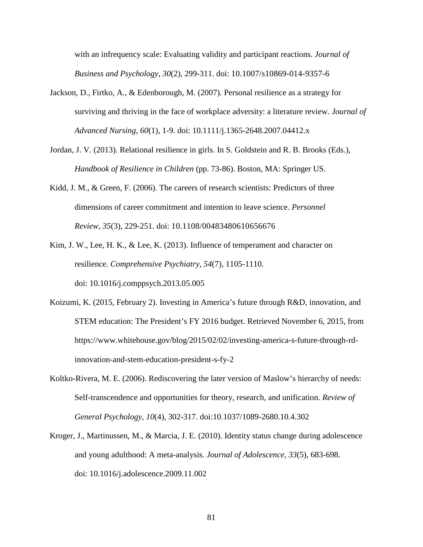with an infrequency scale: Evaluating validity and participant reactions. *Journal of Business and Psychology*, *30*(2), 299-311. doi: 10.1007/s10869-014-9357-6

- Jackson, D., Firtko, A., & Edenborough, M. (2007). Personal resilience as a strategy for surviving and thriving in the face of workplace adversity: a literature review. *Journal of Advanced Nursing*, *60*(1), 1-9. doi: 10.1111/j.1365-2648.2007.04412.x
- Jordan, J. V. (2013). Relational resilience in girls. In S. Goldstein and R. B. Brooks (Eds.), *Handbook of Resilience in Children* (pp. 73-86). Boston, MA: Springer US.
- Kidd, J. M., & Green, F. (2006). The careers of research scientists: Predictors of three dimensions of career commitment and intention to leave science. *Personnel Review*, *35*(3), 229-251. doi: 10.1108/00483480610656676
- Kim, J. W., Lee, H. K., & Lee, K. (2013). Influence of temperament and character on resilience. *Comprehensive Psychiatry*, *54*(7), 1105-1110. doi: 10.1016/j.comppsych.2013.05.005
- Koizumi, K. (2015, February 2). Investing in America's future through R&D, innovation, and STEM education: The President's FY 2016 budget. Retrieved November 6, 2015, from https://www.whitehouse.gov/blog/2015/02/02/investing-america-s-future-through-rdinnovation-and-stem-education-president-s-fy-2
- Koltko-Rivera, M. E. (2006). Rediscovering the later version of Maslow's hierarchy of needs: Self-transcendence and opportunities for theory, research, and unification. *Review of General Psychology*, *10*(4), 302-317. doi:10.1037/1089-2680.10.4.302
- Kroger, J., Martinussen, M., & Marcia, J. E. (2010). Identity status change during adolescence and young adulthood: A meta-analysis. *Journal of Adolescence*, *33*(5), 683-698. doi: 10.1016/j.adolescence.2009.11.002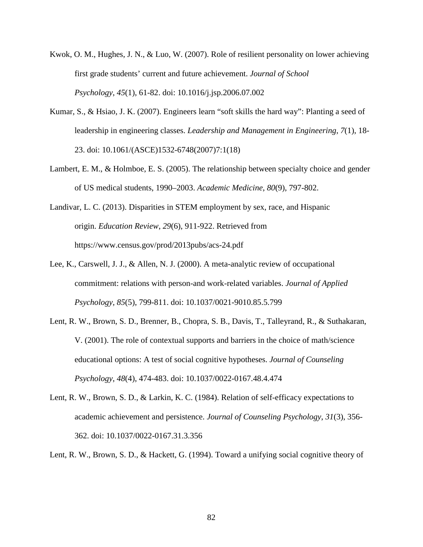- Kwok, O. M., Hughes, J. N., & Luo, W. (2007). Role of resilient personality on lower achieving first grade students' current and future achievement. *Journal of School Psychology*, *45*(1), 61-82. doi: 10.1016/j.jsp.2006.07.002
- Kumar, S., & Hsiao, J. K. (2007). Engineers learn "soft skills the hard way": Planting a seed of leadership in engineering classes. *Leadership and Management in Engineering*, *7*(1), 18- 23. doi: 10.1061/(ASCE)1532-6748(2007)7:1(18)
- Lambert, E. M., & Holmboe, E. S. (2005). The relationship between specialty choice and gender of US medical students, 1990–2003. *Academic Medicine*, *80*(9), 797-802.
- Landivar, L. C. (2013). Disparities in STEM employment by sex, race, and Hispanic origin. *Education Review*, *29*(6), 911-922. Retrieved from https://www.census.gov/prod/2013pubs/acs-24.pdf
- Lee, K., Carswell, J. J., & Allen, N. J. (2000). A meta-analytic review of occupational commitment: relations with person-and work-related variables. *Journal of Applied Psychology, 85*(5), 799-811. doi: 10.1037/0021-9010.85.5.799
- Lent, R. W., Brown, S. D., Brenner, B., Chopra, S. B., Davis, T., Talleyrand, R., & Suthakaran, V. (2001). The role of contextual supports and barriers in the choice of math/science educational options: A test of social cognitive hypotheses. *Journal of Counseling Psychology*, *48*(4), 474-483. doi: 10.1037/0022-0167.48.4.474
- Lent, R. W., Brown, S. D., & Larkin, K. C. (1984). Relation of self-efficacy expectations to academic achievement and persistence. *Journal of Counseling Psychology*, *31*(3), 356- 362. doi: 10.1037/0022-0167.31.3.356

Lent, R. W., Brown, S. D., & Hackett, G. (1994). Toward a unifying social cognitive theory of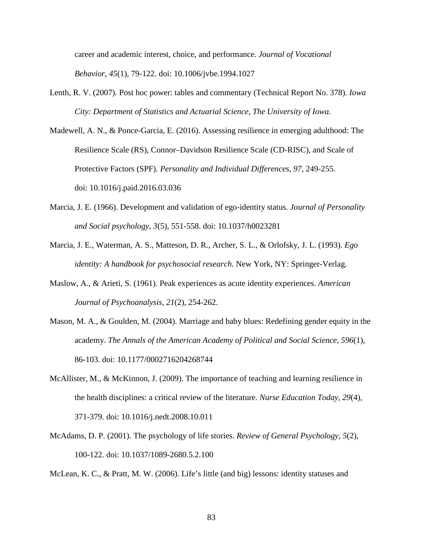career and academic interest, choice, and performance. *Journal of Vocational Behavior*, *45*(1), 79-122. doi: 10.1006/jvbe.1994.1027

- Lenth, R. V. (2007). Post hoc power: tables and commentary (Technical Report No. 378). *Iowa City: Department of Statistics and Actuarial Science, The University of Iowa.*
- Madewell, A. N., & Ponce-Garcia, E. (2016). Assessing resilience in emerging adulthood: The Resilience Scale (RS), Connor–Davidson Resilience Scale (CD-RISC), and Scale of Protective Factors (SPF). *Personality and Individual Differences*, *97*, 249-255. doi: 10.1016/j.paid.2016.03.036
- Marcia, J. E. (1966). Development and validation of ego-identity status. *Journal of Personality and Social psychology*, *3*(5), 551-558. doi: 10.1037/h0023281
- Marcia, J. E., Waterman, A. S., Matteson, D. R., Archer, S. L., & Orlofsky, J. L. (1993). *Ego identity: A handbook for psychosocial research*. New York, NY: Springer-Verlag.
- Maslow, A., & Arieti, S. (1961). Peak experiences as acute identity experiences. *American Journal of Psychoanalysis*, *21*(2), 254-262.
- Mason, M. A., & Goulden, M. (2004). Marriage and baby blues: Redefining gender equity in the academy. *The Annals of the American Academy of Political and Social Science*, *596*(1), 86-103. doi: 10.1177/0002716204268744
- McAllister, M., & McKinnon, J. (2009). The importance of teaching and learning resilience in the health disciplines: a critical review of the literature. *Nurse Education Today*, *29*(4), 371-379. doi: 10.1016/j.nedt.2008.10.011
- McAdams, D. P. (2001). The psychology of life stories. *Review of General Psychology*, *5*(2), 100-122. doi: 10.1037/1089-2680.5.2.100

McLean, K. C., & Pratt, M. W. (2006). Life's little (and big) lessons: identity statuses and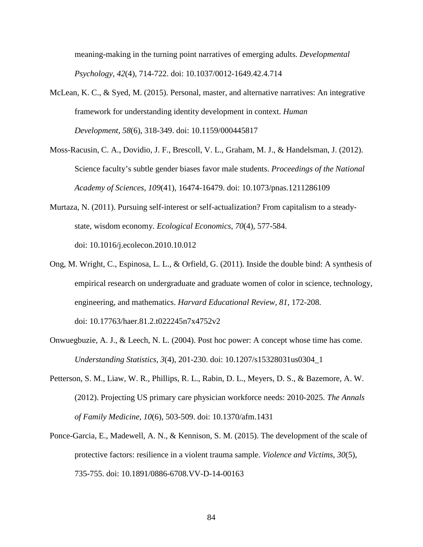meaning-making in the turning point narratives of emerging adults. *Developmental Psychology*, *42*(4), 714-722. doi: 10.1037/0012-1649.42.4.714

- McLean, K. C., & Syed, M. (2015). Personal, master, and alternative narratives: An integrative framework for understanding identity development in context. *Human Development*, *58*(6), 318-349. doi: 10.1159/000445817
- Moss-Racusin, C. A., Dovidio, J. F., Brescoll, V. L., Graham, M. J., & Handelsman, J. (2012). Science faculty's subtle gender biases favor male students. *Proceedings of the National Academy of Sciences*, *109*(41), 16474-16479. doi: 10.1073/pnas.1211286109
- Murtaza, N. (2011). Pursuing self-interest or self-actualization? From capitalism to a steadystate, wisdom economy. *Ecological Economics*, *70*(4), 577-584. doi: 10.1016/j.ecolecon.2010.10.012
- Ong, M. Wright, C., Espinosa, L. L., & Orfield, G. (2011). Inside the double bind: A synthesis of empirical research on undergraduate and graduate women of color in science, technology, engineering, and mathematics. *Harvard Educational Review, 81*, 172-208. doi: 10.17763/haer.81.2.t022245n7x4752v2
- Onwuegbuzie, A. J., & Leech, N. L. (2004). Post hoc power: A concept whose time has come. *Understanding Statistics*, *3*(4), 201-230. doi: 10.1207/s15328031us0304\_1
- Petterson, S. M., Liaw, W. R., Phillips, R. L., Rabin, D. L., Meyers, D. S., & Bazemore, A. W. (2012). Projecting US primary care physician workforce needs: 2010-2025. *The Annals of Family Medicine*, *10*(6), 503-509. doi: 10.1370/afm.1431
- Ponce-Garcia, E., Madewell, A. N., & Kennison, S. M. (2015). The development of the scale of protective factors: resilience in a violent trauma sample. *Violence and Victims*, *30*(5), 735-755. doi: 10.1891/0886-6708.VV-D-14-00163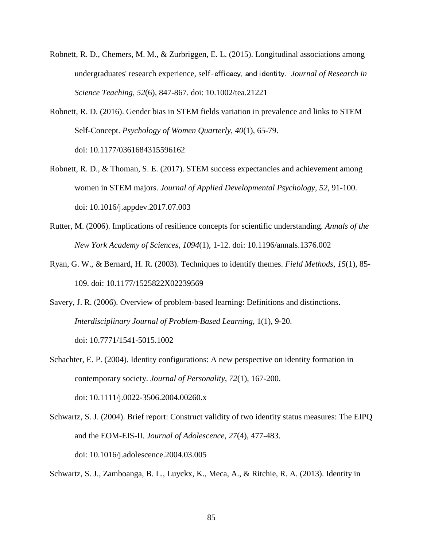- Robnett, R. D., Chemers, M. M., & Zurbriggen, E. L. (2015). Longitudinal associations among undergraduates' research experience, self‐efficacy, and identity. *Journal of Research in Science Teaching*, *52*(6), 847-867. doi: 10.1002/tea.21221
- Robnett, R. D. (2016). Gender bias in STEM fields variation in prevalence and links to STEM Self-Concept. *Psychology of Women Quarterly*, *40*(1), 65-79. doi: 10.1177/0361684315596162
- Robnett, R. D., & Thoman, S. E. (2017). STEM success expectancies and achievement among women in STEM majors. *Journal of Applied Developmental Psychology*, *52*, 91-100. doi: 10.1016/j.appdev.2017.07.003
- Rutter, M. (2006). Implications of resilience concepts for scientific understanding. *Annals of the New York Academy of Sciences*, *1094*(1), 1-12. doi: 10.1196/annals.1376.002
- Ryan, G. W., & Bernard, H. R. (2003). Techniques to identify themes. *Field Methods*, *15*(1), 85- 109. doi: 10.1177/1525822X02239569
- Savery, J. R. (2006). Overview of problem-based learning: Definitions and distinctions. *Interdisciplinary Journal of Problem-Based Learning*, 1(1), 9-20. doi: 10.7771/1541-5015.1002

Schachter, E. P. (2004). Identity configurations: A new perspective on identity formation in contemporary society. *Journal of Personality*, *72*(1), 167-200. doi: 10.1111/j.0022-3506.2004.00260.x

Schwartz, S. J. (2004). Brief report: Construct validity of two identity status measures: The EIPQ and the EOM-EIS-II. *Journal of Adolescence*, *27*(4), 477-483. doi: 10.1016/j.adolescence.2004.03.005

Schwartz, S. J., Zamboanga, B. L., Luyckx, K., Meca, A., & Ritchie, R. A. (2013). Identity in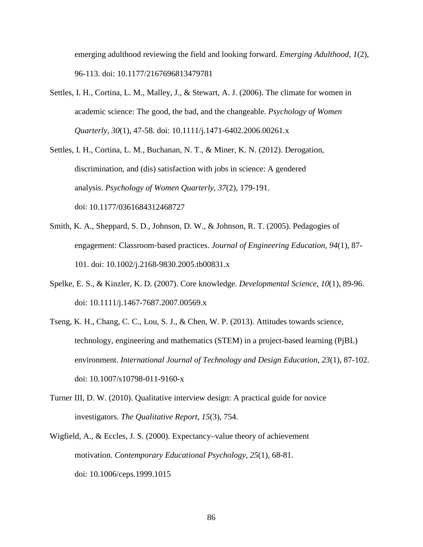emerging adulthood reviewing the field and looking forward. *Emerging Adulthood*, *1*(2), 96-113. doi: 10.1177/2167696813479781

Settles, I. H., Cortina, L. M., Malley, J., & Stewart, A. J. (2006). The climate for women in academic science: The good, the bad, and the changeable. *Psychology of Women Quarterly*, *30*(1), 47-58. doi: 10.1111/j.1471-6402.2006.00261.x

Settles, I. H., Cortina, L. M., Buchanan, N. T., & Miner, K. N. (2012). Derogation, discrimination, and (dis) satisfaction with jobs in science: A gendered analysis. *Psychology of Women Quarterly*, *37*(2), 179-191. doi: 10.1177/0361684312468727

- Smith, K. A., Sheppard, S. D., Johnson, D. W., & Johnson, R. T. (2005). Pedagogies of engagement: Classroom‐based practices. *Journal of Engineering Education*, *94*(1), 87- 101. doi: 10.1002/j.2168-9830.2005.tb00831.x
- Spelke, E. S., & Kinzler, K. D. (2007). Core knowledge. *Developmental Science*, *10*(1), 89-96. doi: 10.1111/j.1467-7687.2007.00569.x
- Tseng, K. H., Chang, C. C., Lou, S. J., & Chen, W. P. (2013). Attitudes towards science, technology, engineering and mathematics (STEM) in a project-based learning (PjBL) environment. *International Journal of Technology and Design Education*, *23*(1), 87-102. doi: 10.1007/s10798-011-9160-x
- Turner III, D. W. (2010). Qualitative interview design: A practical guide for novice investigators. *The Qualitative Report*, *15*(3), 754.
- Wigfield, A., & Eccles, J. S. (2000). Expectancy–value theory of achievement motivation. *Contemporary Educational Psychology*, *25*(1), 68-81. doi: 10.1006/ceps.1999.1015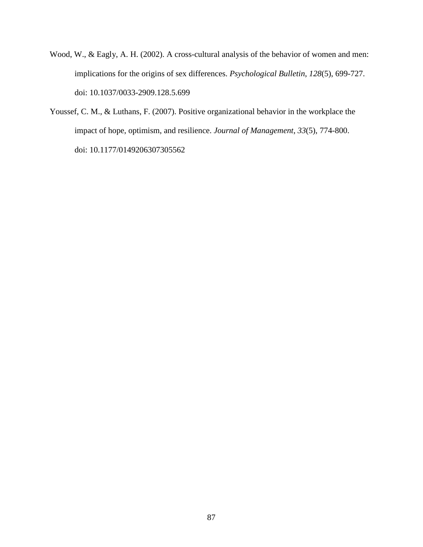- Wood, W., & Eagly, A. H. (2002). A cross-cultural analysis of the behavior of women and men: implications for the origins of sex differences. *Psychological Bulletin*, *128*(5), 699-727. doi: 10.1037/0033-2909.128.5.699
- Youssef, C. M., & Luthans, F. (2007). Positive organizational behavior in the workplace the impact of hope, optimism, and resilience. *Journal of Management*, *33*(5), 774-800. doi: 10.1177/0149206307305562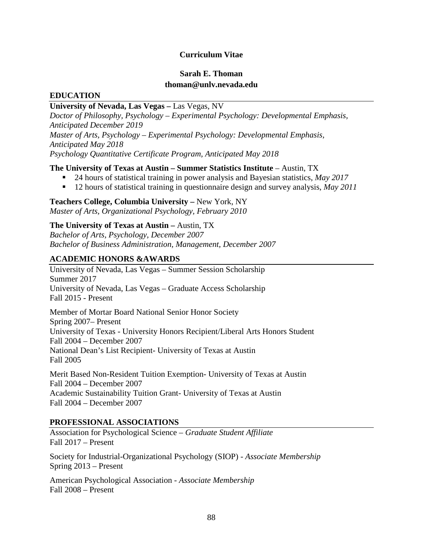## **Curriculum Vitae**

# **Sarah E. Thoman thoman@unlv.nevada.edu**

### **EDUCATION**

### **University of Nevada, Las Vegas –** Las Vegas, NV

*Doctor of Philosophy, Psychology – Experimental Psychology: Developmental Emphasis, Anticipated December 2019 Master of Arts, Psychology – Experimental Psychology: Developmental Emphasis, Anticipated May 2018 Psychology Quantitative Certificate Program, Anticipated May 2018*

### **The University of Texas at Austin – Summer Statistics Institute** – Austin, TX

- 24 hours of statistical training in power analysis and Bayesian statistics, *May 2017*
- 12 hours of statistical training in questionnaire design and survey analysis, *May 2011*

### **Teachers College, Columbia University –** New York, NY *Master of Arts, Organizational Psychology, February 2010*

## **The University of Texas at Austin –** Austin, TX

*Bachelor of Arts, Psychology, December 2007 Bachelor of Business Administration, Management, December 2007*

# **ACADEMIC HONORS &AWARDS**

University of Nevada, Las Vegas – Summer Session Scholarship Summer 2017 University of Nevada, Las Vegas – Graduate Access Scholarship Fall 2015 - Present

Member of Mortar Board National Senior Honor Society Spring 2007– Present University of Texas - University Honors Recipient/Liberal Arts Honors Student Fall 2004 – December 2007 National Dean's List Recipient- University of Texas at Austin Fall 2005

Merit Based Non-Resident Tuition Exemption- University of Texas at Austin Fall 2004 – December 2007 Academic Sustainability Tuition Grant- University of Texas at Austin Fall 2004 – December 2007

## **PROFESSIONAL ASSOCIATIONS**

Association for Psychological Science – *Graduate Student Affiliate*  Fall 2017 – Present

Society for Industrial-Organizational Psychology (SIOP) - *Associate Membership* Spring 2013 – Present

American Psychological Association - *Associate Membership* Fall 2008 – Present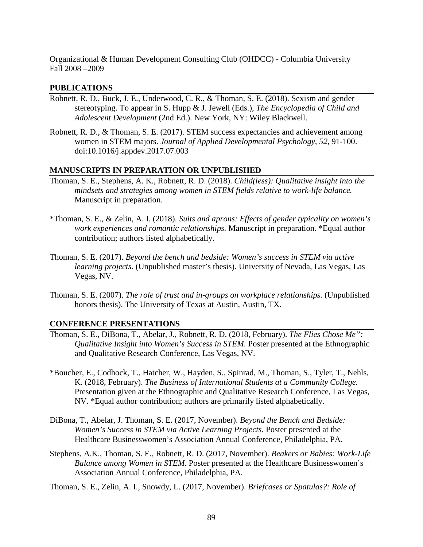Organizational & Human Development Consulting Club (OHDCC) - Columbia University Fall 2008 –2009

### **PUBLICATIONS**

- Robnett, R. D., Buck, J. E., Underwood, C. R., & Thoman, S. E. (2018). Sexism and gender stereotyping. To appear in S. Hupp & J. Jewell (Eds.), *The Encyclopedia of Child and Adolescent Development* (2nd Ed.). New York, NY: Wiley Blackwell.
- Robnett, R. D., & Thoman, S. E. (2017). STEM success expectancies and achievement among women in STEM majors. *Journal of Applied Developmental Psychology, 52*, 91-100. doi:10.1016/j.appdev.2017.07.003

### **MANUSCRIPTS IN PREPARATION OR UNPUBLISHED**

- Thoman, S. E., Stephens, A. K., Robnett, R. D. (2018). *Child(less): Qualitative insight into the mindsets and strategies among women in STEM fields relative to work-life balance.* Manuscript in preparation.
- \*Thoman, S. E., & Zelin, A. I. (2018). *Suits and aprons: Effects of gender typicality on women's work experiences and romantic relationships.* Manuscript in preparation. \*Equal author contribution; authors listed alphabetically.
- Thoman, S. E. (2017). *Beyond the bench and bedside: Women's success in STEM via active learning projects*. (Unpublished master's thesis). University of Nevada, Las Vegas, Las Vegas, NV.
- Thoman, S. E. (2007). *The role of trust and in-groups on workplace relationships.* (Unpublished honors thesis). The University of Texas at Austin, Austin, TX.

## **CONFERENCE PRESENTATIONS**

- Thoman, S. E., DiBona, T., Abelar, J., Robnett, R. D. (2018, February). *The Flies Chose Me": Qualitative Insight into Women's Success in STEM.* Poster presented at the Ethnographic and Qualitative Research Conference, Las Vegas, NV.
- \*Boucher, E., Codhock, T., Hatcher, W., Hayden, S., Spinrad, M., Thoman, S., Tyler, T., Nehls, K. (2018, February). *The Business of International Students at a Community College.* Presentation given at the Ethnographic and Qualitative Research Conference, Las Vegas, NV. \*Equal author contribution; authors are primarily listed alphabetically.
- DiBona, T., Abelar, J. Thoman, S. E. (2017, November). *Beyond the Bench and Bedside: Women's Success in STEM via Active Learning Projects.* Poster presented at the Healthcare Businesswomen's Association Annual Conference, Philadelphia, PA.
- Stephens, A.K., Thoman, S. E., Robnett, R. D. (2017, November). *Beakers or Babies: Work-Life Balance among Women in STEM.* Poster presented at the Healthcare Businesswomen's Association Annual Conference, Philadelphia, PA.

Thoman, S. E., Zelin, A. I., Snowdy, L. (2017, November). *Briefcases or Spatulas?: Role of*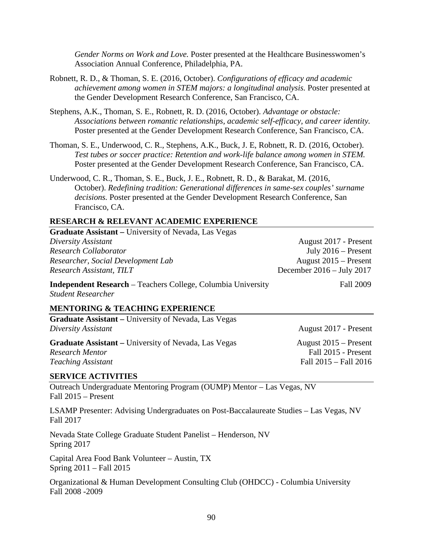*Gender Norms on Work and Love.* Poster presented at the Healthcare Businesswomen's Association Annual Conference, Philadelphia, PA.

- Robnett, R. D., & Thoman, S. E. (2016, October). *Configurations of efficacy and academic achievement among women in STEM majors: a longitudinal analysis.* Poster presented at the Gender Development Research Conference, San Francisco, CA.
- Stephens, A.K., Thoman, S. E., Robnett, R. D. (2016, October). *Advantage or obstacle: Associations between romantic relationships, academic self-efficacy, and career identity.* Poster presented at the Gender Development Research Conference, San Francisco, CA.
- Thoman, S. E., Underwood, C. R., Stephens, A.K., Buck, J. E, Robnett, R. D. (2016, October). *Test tubes or soccer practice: Retention and work-life balance among women in STEM.* Poster presented at the Gender Development Research Conference, San Francisco, CA.
- Underwood, C. R., Thoman, S. E., Buck, J. E., Robnett, R. D., & Barakat, M. (2016, October). *Redefining tradition: Generational differences in same-sex couples' surname decisions.* Poster presented at the Gender Development Research Conference, San Francisco, CA.

### **RESEARCH & RELEVANT ACADEMIC EXPERIENCE**

| <b>Graduate Assistant</b> – University of Nevada, Las Vegas                                      |                                     |
|--------------------------------------------------------------------------------------------------|-------------------------------------|
| Diversity Assistant                                                                              | August 2017 - Present               |
| Research Collaborator                                                                            | July $2016$ – Present               |
| Researcher, Social Development Lab                                                               | August $2015$ – Present             |
| Research Assistant, TILT                                                                         | December $2016 - \text{July } 2017$ |
| <b>Independent Research</b> – Teachers College, Columbia University<br><b>Student Researcher</b> | <b>Fall 2009</b>                    |
| <b>MENTORING &amp; TEACHING EXPERIENCE</b>                                                       |                                     |
| <b>Graduate Assistant – University of Nevada, Las Vegas</b>                                      |                                     |
| Diversity Assistant                                                                              | August 2017 - Present               |
| <b>Graduate Assistant</b> – University of Nevada, Las Vegas                                      | August $2015$ – Present             |
| <b>Research Mentor</b>                                                                           | Fall 2015 - Present                 |
| <b>Teaching Assistant</b>                                                                        | Fall $2015 -$ Fall $2016$           |

### **SERVICE ACTIVITIES**

Outreach Undergraduate Mentoring Program (OUMP) Mentor – Las Vegas, NV Fall 2015 – Present

LSAMP Presenter: Advising Undergraduates on Post-Baccalaureate Studies – Las Vegas, NV Fall 2017

Nevada State College Graduate Student Panelist – Henderson, NV Spring 2017

Capital Area Food Bank Volunteer – Austin, TX Spring 2011 – Fall 2015

Organizational & Human Development Consulting Club (OHDCC) - Columbia University Fall 2008 -2009